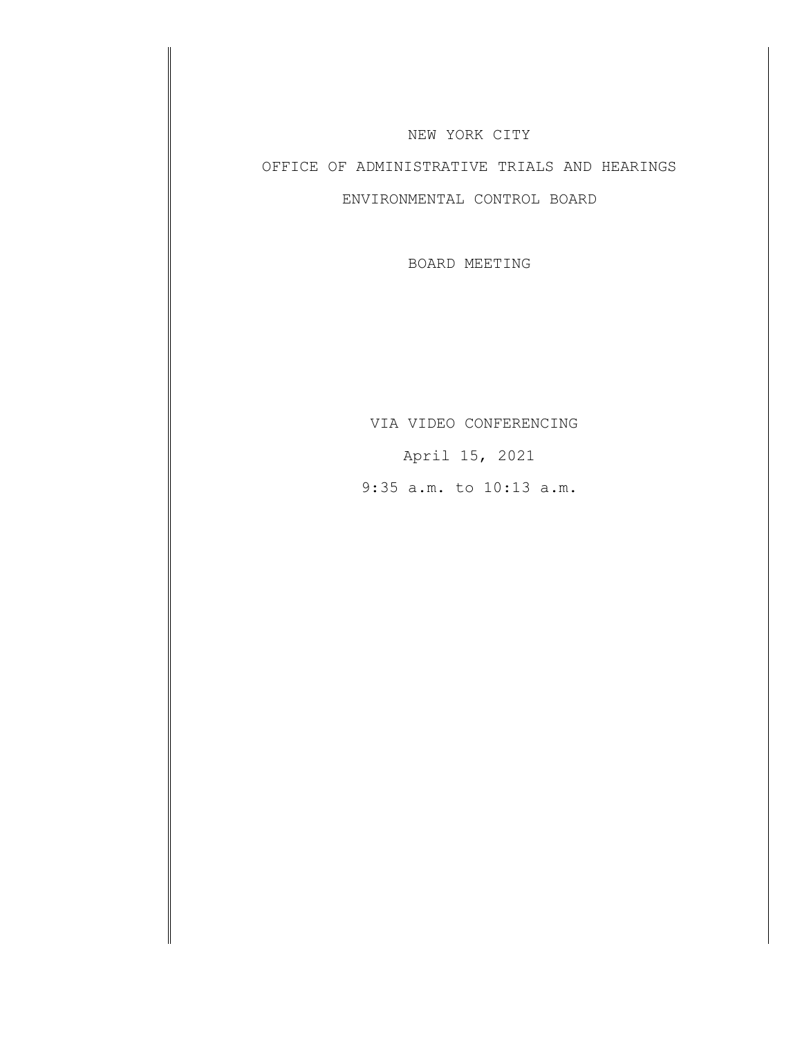## NEW YORK CITY

## OFFICE OF ADMINISTRATIVE TRIALS AND HEARINGS

## ENVIRONMENTAL CONTROL BOARD

BOARD MEETING

VIA VIDEO CONFERENCING April 15, 2021 9:35 a.m. to 10:13 a.m.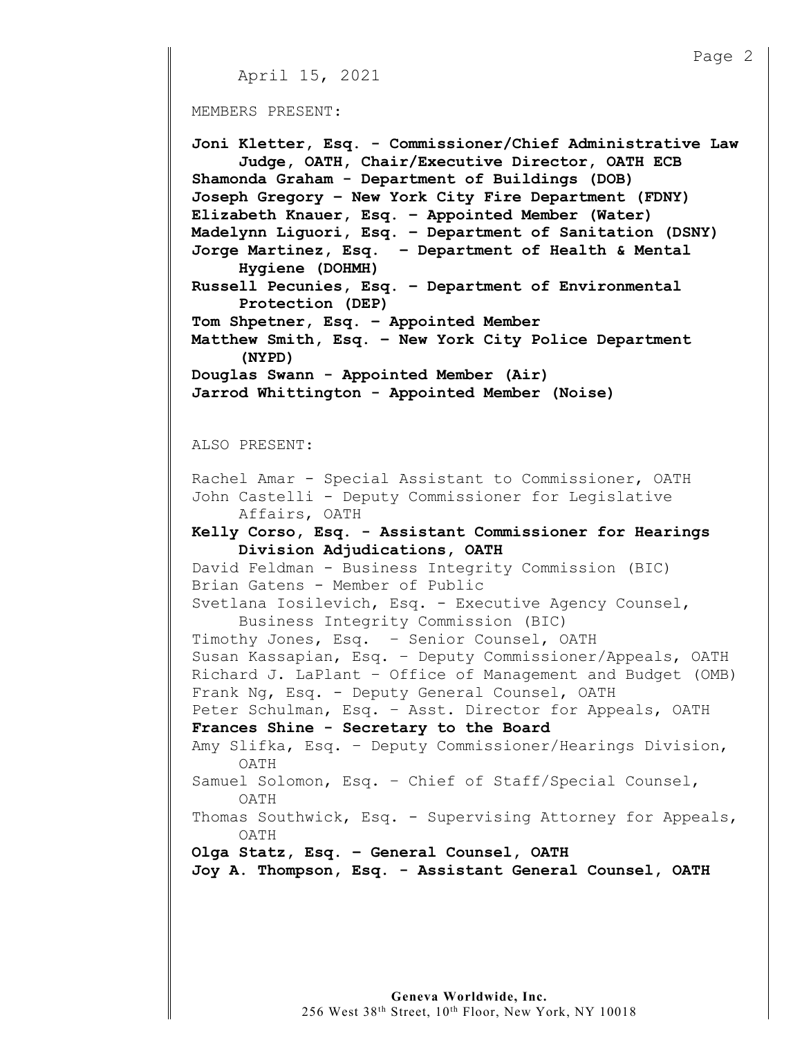```
Page 2
    April 15, 2021
MEMBERS PRESENT:
Joni Kletter, Esq. - Commissioner/Chief Administrative Law
     Judge, OATH, Chair/Executive Director, OATH ECB
Shamonda Graham - Department of Buildings (DOB)
Joseph Gregory – New York City Fire Department (FDNY)
Elizabeth Knauer, Esq. – Appointed Member (Water) 
Madelynn Liguori, Esq. – Department of Sanitation (DSNY)
Jorge Martinez, Esq. – Department of Health & Mental
     Hygiene (DOHMH)
Russell Pecunies, Esq. – Department of Environmental 
     Protection (DEP)
Tom Shpetner, Esq. – Appointed Member 
Matthew Smith, Esq. – New York City Police Department 
     (NYPD)
Douglas Swann - Appointed Member (Air)
Jarrod Whittington - Appointed Member (Noise)
ALSO PRESENT:
Rachel Amar - Special Assistant to Commissioner, OATH
John Castelli - Deputy Commissioner for Legislative 
     Affairs, OATH
Kelly Corso, Esq. - Assistant Commissioner for Hearings
     Division Adjudications, OATH
David Feldman - Business Integrity Commission (BIC)
Brian Gatens - Member of Public
Svetlana Iosilevich, Esq. - Executive Agency Counsel,
     Business Integrity Commission (BIC)
Timothy Jones, Esq. – Senior Counsel, OATH
Susan Kassapian, Esq. – Deputy Commissioner/Appeals, OATH
Richard J. LaPlant – Office of Management and Budget (OMB)
Frank Ng, Esq. - Deputy General Counsel, OATH
Peter Schulman, Esq. – Asst. Director for Appeals, OATH
Frances Shine - Secretary to the Board
Amy Slifka, Esq. – Deputy Commissioner/Hearings Division, 
     OATH
Samuel Solomon, Esq. – Chief of Staff/Special Counsel,
     OATH
Thomas Southwick, Esq. - Supervising Attorney for Appeals,
     OATH
Olga Statz, Esq. – General Counsel, OATH
Joy A. Thompson, Esq. - Assistant General Counsel, OATH
```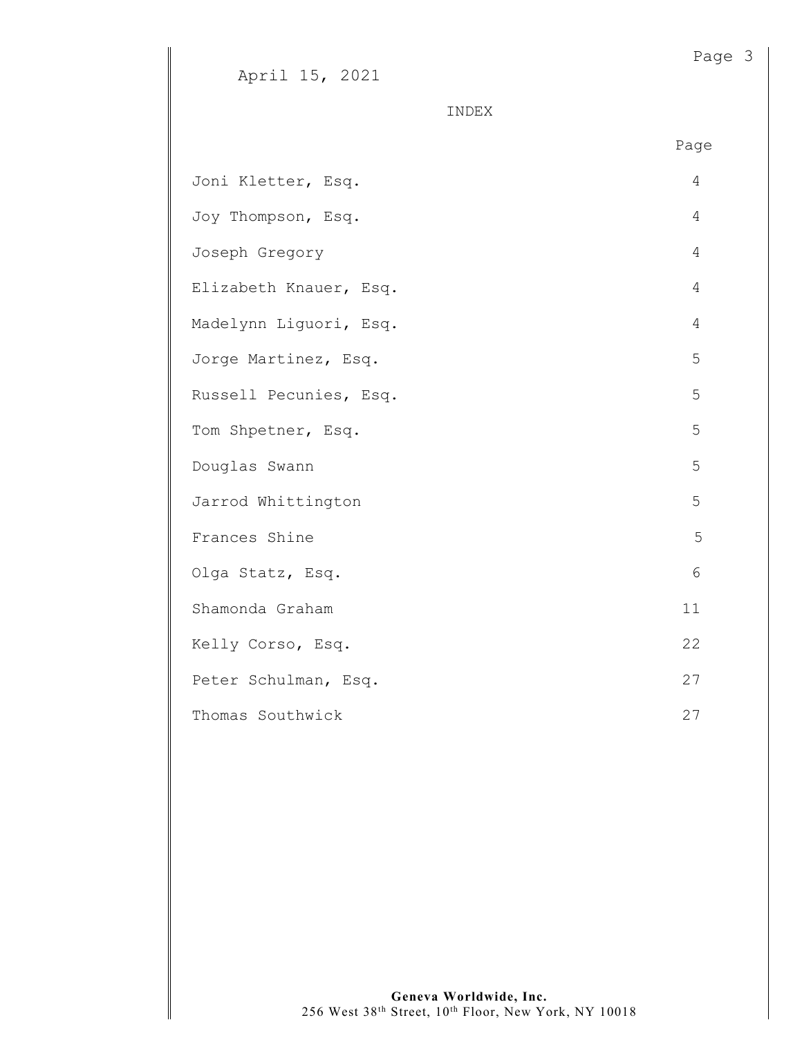April 15, 2021

INDEX

|                        | Page |
|------------------------|------|
| Joni Kletter, Esq.     | 4    |
| Joy Thompson, Esq.     | 4    |
| Joseph Gregory         | 4    |
| Elizabeth Knauer, Esq. | 4    |
| Madelynn Liguori, Esq. | 4    |
| Jorge Martinez, Esq.   | 5    |
| Russell Pecunies, Esq. | 5    |
| Tom Shpetner, Esq.     | 5    |
| Douglas Swann          | 5    |
| Jarrod Whittington     | 5    |
| Frances Shine          | 5    |
| Olga Statz, Esq.       | 6    |
| Shamonda Graham        | 11   |
| Kelly Corso, Esq.      | 22   |
| Peter Schulman, Esq.   | 27   |
| Thomas Southwick       | 27   |

Page 3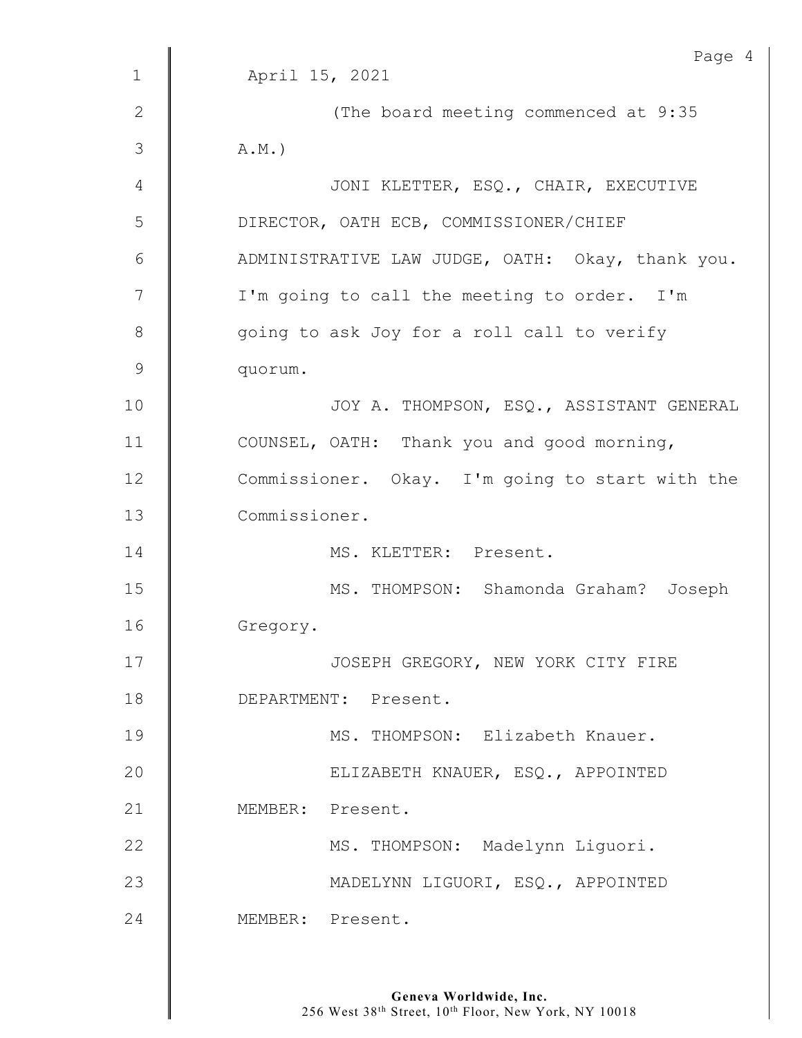|                | Page 4                                           |
|----------------|--------------------------------------------------|
| $\mathbf{1}$   | April 15, 2021                                   |
| $\mathbf{2}$   | (The board meeting commenced at 9:35             |
| $\mathfrak{Z}$ | $A.M.$ )                                         |
| 4              | JONI KLETTER, ESQ., CHAIR, EXECUTIVE             |
| 5              | DIRECTOR, OATH ECB, COMMISSIONER/CHIEF           |
| 6              | ADMINISTRATIVE LAW JUDGE, OATH: Okay, thank you. |
| 7              | I'm going to call the meeting to order. I'm      |
| $8\,$          | going to ask Joy for a roll call to verify       |
| $\mathsf 9$    | quorum.                                          |
| 10             | JOY A. THOMPSON, ESQ., ASSISTANT GENERAL         |
| 11             | COUNSEL, OATH: Thank you and good morning,       |
| 12             | Commissioner. Okay. I'm going to start with the  |
| 13             | Commissioner.                                    |
| 14             | MS. KLETTER: Present.                            |
| 15             | MS. THOMPSON: Shamonda Graham? Joseph            |
| 16             | Gregory.                                         |
| 17             | JOSEPH GREGORY, NEW YORK CITY FIRE               |
| 18             | DEPARTMENT: Present.                             |
| 19             | MS. THOMPSON: Elizabeth Knauer.                  |
| 20             | ELIZABETH KNAUER, ESQ., APPOINTED                |
| 21             | MEMBER: Present.                                 |
| 22             | MS. THOMPSON: Madelynn Liquori.                  |
| 23             | MADELYNN LIGUORI, ESQ., APPOINTED                |
| 24             | MEMBER: Present.                                 |
|                |                                                  |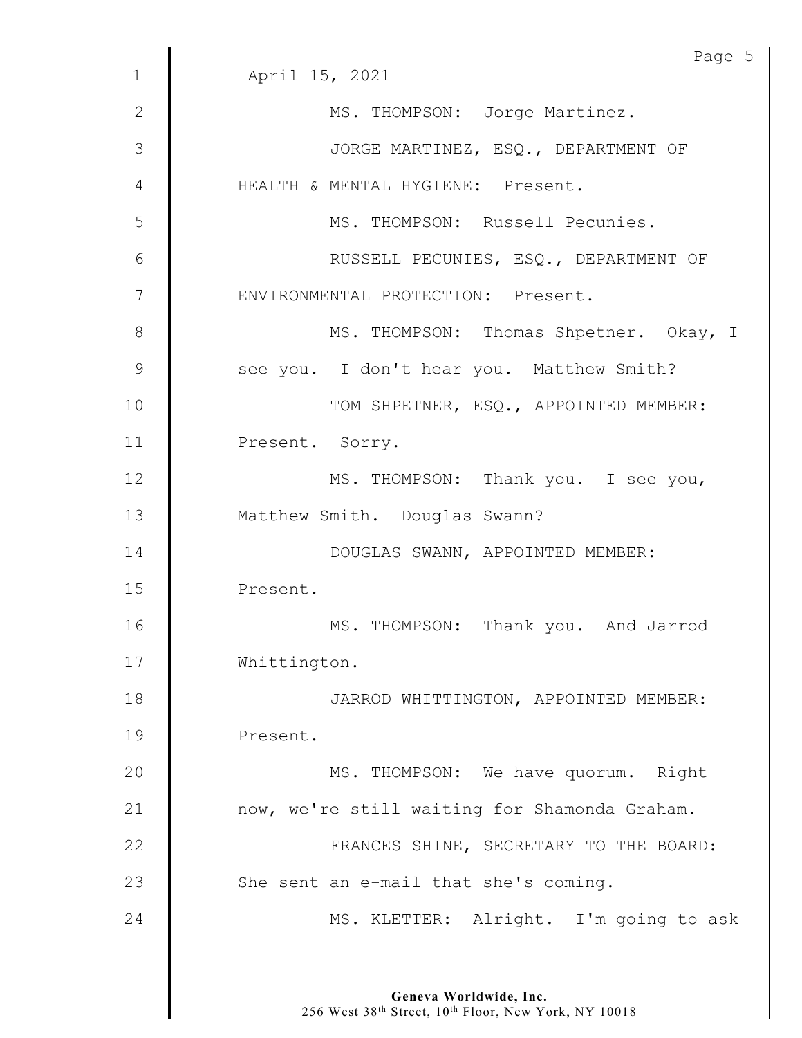|              | Page 5                                        |
|--------------|-----------------------------------------------|
| $\mathbf 1$  | April 15, 2021                                |
| $\mathbf{2}$ | MS. THOMPSON: Jorge Martinez.                 |
| 3            | JORGE MARTINEZ, ESQ., DEPARTMENT OF           |
| 4            | HEALTH & MENTAL HYGIENE: Present.             |
| 5            | MS. THOMPSON: Russell Pecunies.               |
| 6            | RUSSELL PECUNIES, ESQ., DEPARTMENT OF         |
| 7            | ENVIRONMENTAL PROTECTION: Present.            |
| 8            | MS. THOMPSON: Thomas Shpetner. Okay, I        |
| 9            | see you. I don't hear you. Matthew Smith?     |
| 10           | TOM SHPETNER, ESQ., APPOINTED MEMBER:         |
| 11           | Present. Sorry.                               |
| 12           | MS. THOMPSON: Thank you. I see you,           |
| 13           | Matthew Smith. Douglas Swann?                 |
| 14           | DOUGLAS SWANN, APPOINTED MEMBER:              |
| 15           | Present.                                      |
| 16           | MS. THOMPSON: Thank you. And Jarrod           |
| 17           | Whittington.                                  |
| 18           | JARROD WHITTINGTON, APPOINTED MEMBER:         |
| 19           | Present.                                      |
| 20           | MS. THOMPSON: We have quorum. Right           |
| 21           | now, we're still waiting for Shamonda Graham. |
| 22           | FRANCES SHINE, SECRETARY TO THE BOARD:        |
| 23           | She sent an e-mail that she's coming.         |
| 24           | MS. KLETTER: Alright. I'm going to ask        |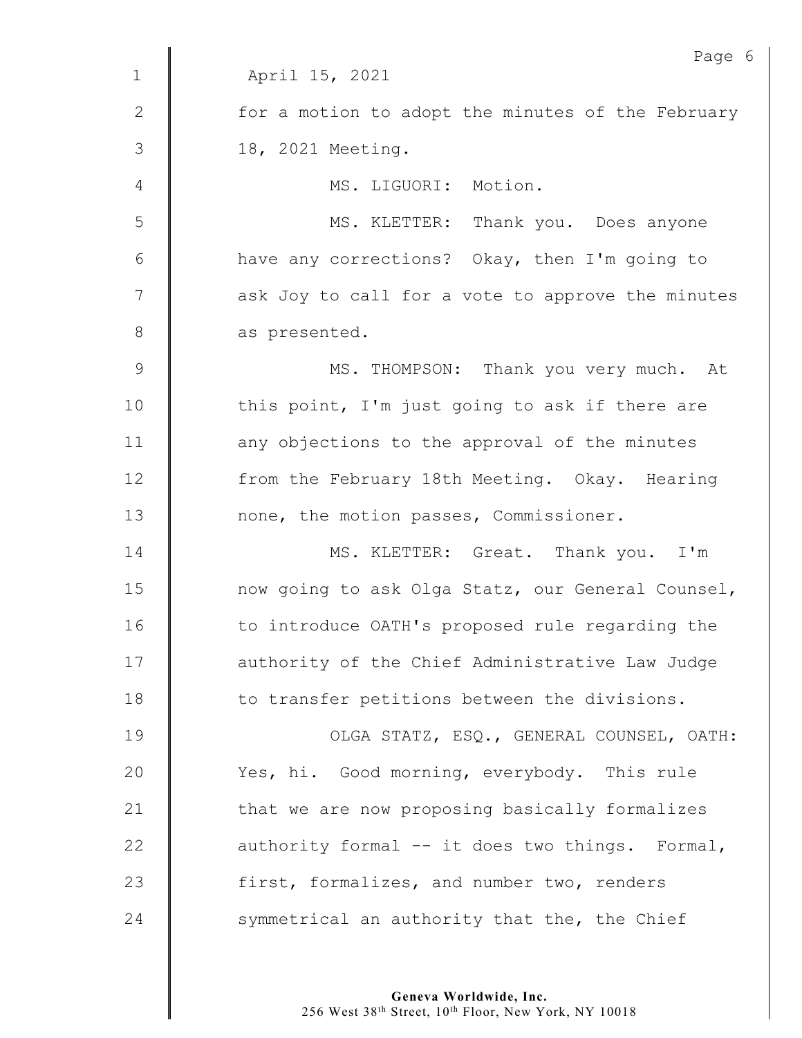|                | Page (                                            |
|----------------|---------------------------------------------------|
| $\mathbf{1}$   | April 15, 2021                                    |
| $\mathbf{2}$   | for a motion to adopt the minutes of the February |
| $\mathfrak{Z}$ | 18, 2021 Meeting.                                 |
| $\overline{4}$ | MS. LIGUORI: Motion.                              |
| 5              | MS. KLETTER: Thank you. Does anyone               |
| 6              | have any corrections? Okay, then I'm going to     |
| $\overline{7}$ | ask Joy to call for a vote to approve the minutes |
| $8\,$          | as presented.                                     |
| $\mathcal{G}$  | MS. THOMPSON: Thank you very much. At             |
| 10             | this point, I'm just going to ask if there are    |
| 11             | any objections to the approval of the minutes     |
| 12             | from the February 18th Meeting. Okay. Hearing     |
| 13             | none, the motion passes, Commissioner.            |
| 14             | MS. KLETTER: Great. Thank you. I'm                |
| 15             | now going to ask Olga Statz, our General Counsel, |
| 16             | to introduce OATH's proposed rule regarding the   |
| 17             | authority of the Chief Administrative Law Judge   |
| 18             | to transfer petitions between the divisions.      |
| 19             | OLGA STATZ, ESQ., GENERAL COUNSEL, OATH:          |
| 20             | Yes, hi. Good morning, everybody. This rule       |
| 21             | that we are now proposing basically formalizes    |
| 22             | authority formal -- it does two things. Formal,   |
| 23             | first, formalizes, and number two, renders        |
| 24             | symmetrical an authority that the, the Chief      |
|                |                                                   |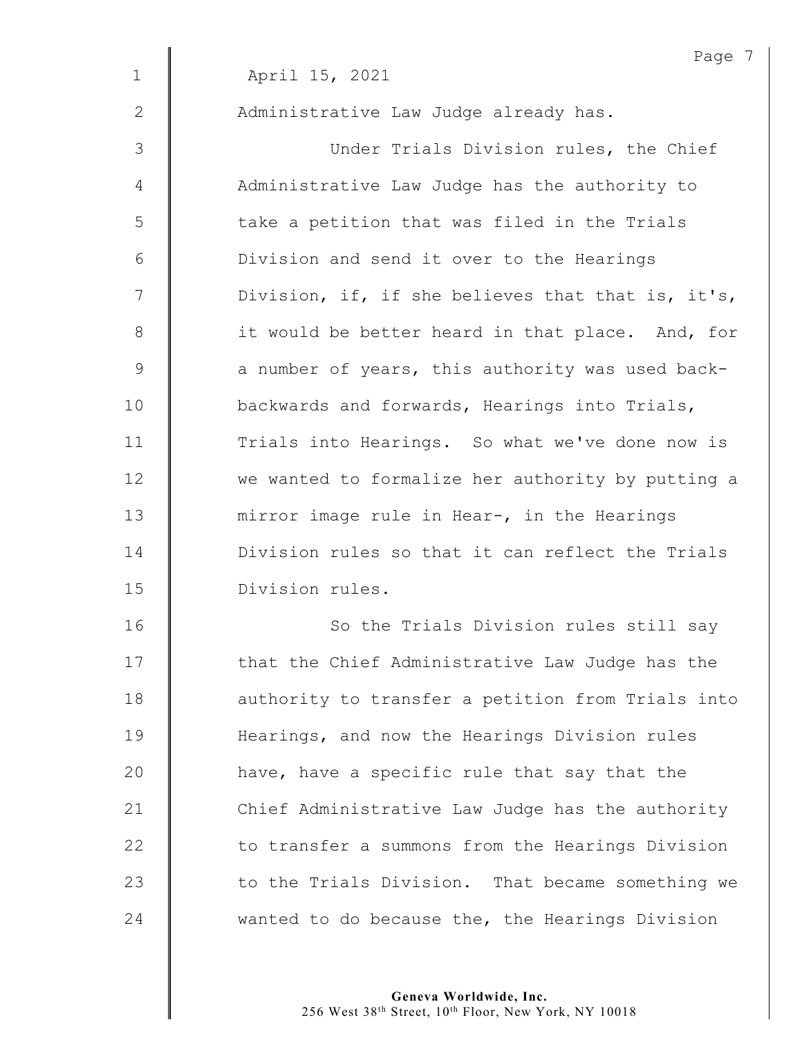|             | Page 7                                            |
|-------------|---------------------------------------------------|
| $\mathbf 1$ | April 15, 2021                                    |
| 2           | Administrative Law Judge already has.             |
| 3           | Under Trials Division rules, the Chief            |
| 4           | Administrative Law Judge has the authority to     |
| 5           | take a petition that was filed in the Trials      |
| 6           | Division and send it over to the Hearings         |
| 7           | Division, if, if she believes that that is, it's, |
| 8           | it would be better heard in that place. And, for  |
| 9           | a number of years, this authority was used back-  |
| 10          | backwards and forwards, Hearings into Trials,     |
| 11          | Trials into Hearings. So what we've done now is   |
| 12          | we wanted to formalize her authority by putting a |
| 13          | mirror image rule in Hear-, in the Hearings       |
| 14          | Division rules so that it can reflect the Trials  |
| 15          | Division rules.                                   |
| 16          | So the Trials Division rules still say            |
| 17          | that the Chief Administrative Law Judge has the   |
| 18          | authority to transfer a petition from Trials into |
| 19          | Hearings, and now the Hearings Division rules     |
| 20          | have, have a specific rule that say that the      |
| 21          | Chief Administrative Law Judge has the authority  |
| 22          | to transfer a summons from the Hearings Division  |
| 23          | to the Trials Division. That became something we  |
| 24          | wanted to do because the, the Hearings Division   |
|             |                                                   |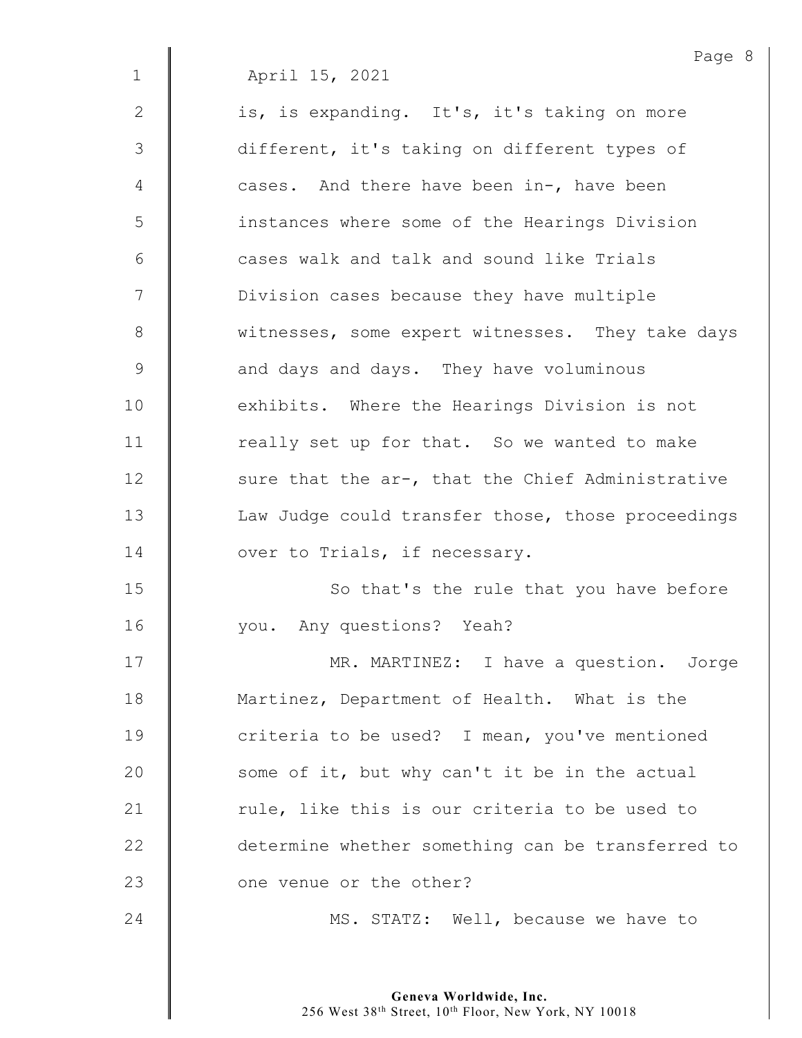|              | Page 8                                            |
|--------------|---------------------------------------------------|
| $\mathbf 1$  | April 15, 2021                                    |
| $\mathbf{2}$ | is, is expanding. It's, it's taking on more       |
| 3            | different, it's taking on different types of      |
| 4            | cases. And there have been in-, have been         |
| 5            | instances where some of the Hearings Division     |
| 6            | cases walk and talk and sound like Trials         |
| 7            | Division cases because they have multiple         |
| 8            | witnesses, some expert witnesses. They take days  |
| 9            | and days and days. They have voluminous           |
| 10           | exhibits. Where the Hearings Division is not      |
| 11           | really set up for that. So we wanted to make      |
| 12           | sure that the ar-, that the Chief Administrative  |
| 13           | Law Judge could transfer those, those proceedings |
| 14           | over to Trials, if necessary.                     |
| 15           | So that's the rule that you have before           |
| 16           | you. Any questions? Yeah?                         |
| 17           | MR. MARTINEZ: I have a question. Jorge            |
| 18           | Martinez, Department of Health. What is the       |
| 19           | criteria to be used? I mean, you've mentioned     |
| 20           | some of it, but why can't it be in the actual     |
| 21           | rule, like this is our criteria to be used to     |
| 22           | determine whether something can be transferred to |
| 23           | one venue or the other?                           |
| 24           | MS. STATZ: Well, because we have to               |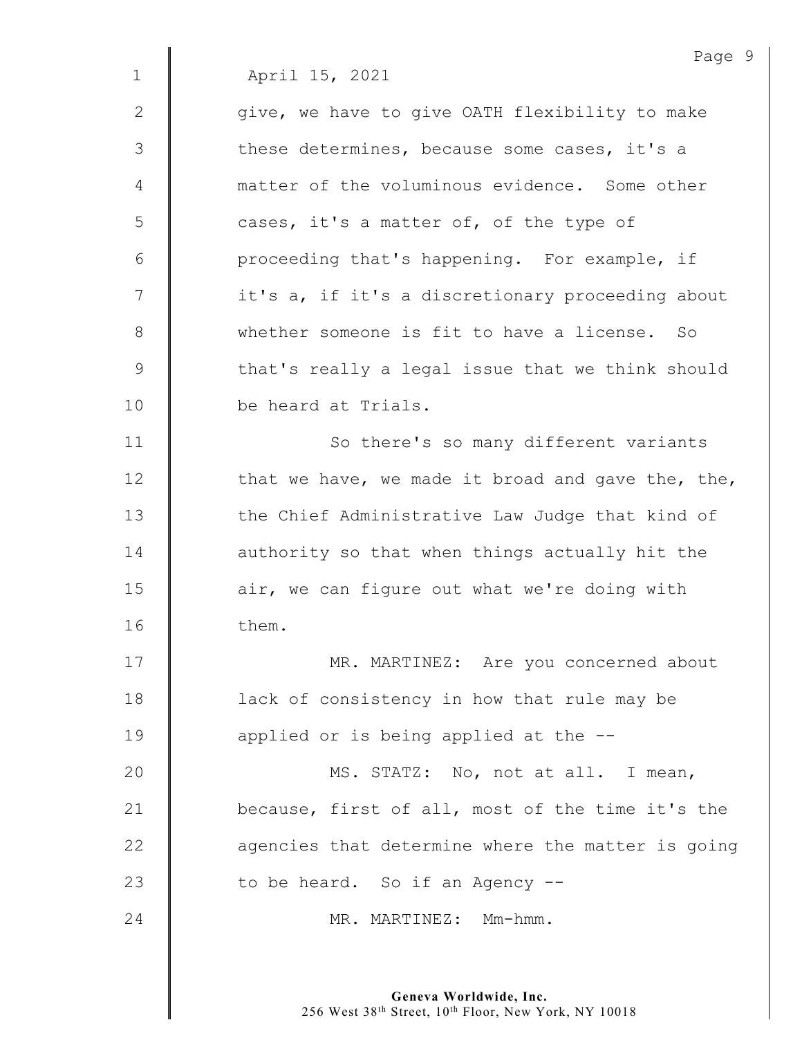Page 9 1 April 15, 2021  $2 \parallel$  give, we have to give OATH flexibility to make  $3 \parallel$  these determines, because some cases, it's a 4 matter of the voluminous evidence. Some other 5 | cases, it's a matter of, of the type of 6 | proceeding that's happening. For example, if 7 | it's a, if it's a discretionary proceeding about 8 Whether someone is fit to have a license. So 9 that's really a legal issue that we think should 10 be heard at Trials. 11 | So there's so many different variants 12  $\parallel$  that we have, we made it broad and gave the, the, 13 the Chief Administrative Law Judge that kind of 14 **deg** authority so that when things actually hit the 15  $\parallel$  air, we can figure out what we're doing with 16 **b** them. 17 | MR. MARTINEZ: Are you concerned about 18 **lack of consistency in how that rule may be** 19  $\parallel$  applied or is being applied at the  $-$ -20 | MS. STATZ: No, not at all. I mean, 21 **because, first of all, most of the time it's the**  $22$   $\parallel$  agencies that determine where the matter is going 23  $\parallel$  to be heard. So if an Agency  $-$ 24 | MR. MARTINEZ: Mm-hmm.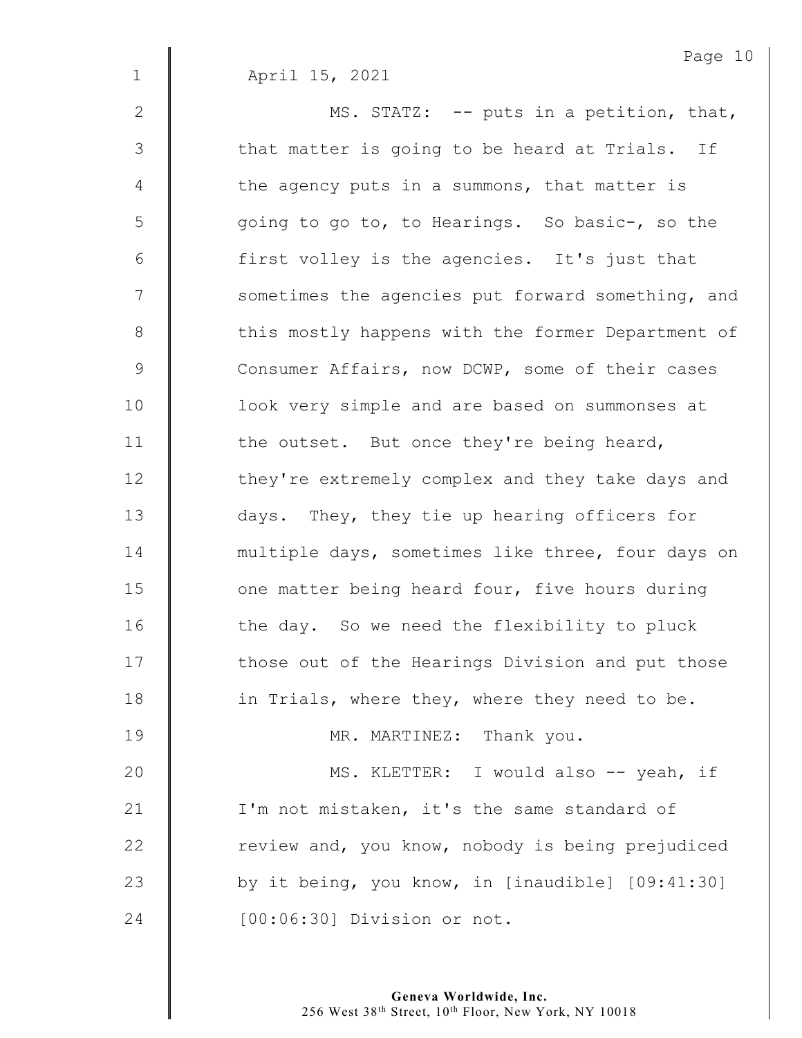1 April 15, 2021

2  $\parallel$  MS. STATZ: -- puts in a petition, that, 3 | that matter is going to be heard at Trials. If  $4 \parallel$  the agency puts in a summons, that matter is 5 | going to go to, to Hearings. So basic-, so the 6 | first volley is the agencies. It's just that 7 | sometimes the agencies put forward something, and 8 this mostly happens with the former Department of 9 Consumer Affairs, now DCWP, some of their cases 10 | look very simple and are based on summonses at 11 **the outset.** But once they're being heard, 12 | they're extremely complex and they take days and 13 days. They, they tie up hearing officers for 14 | multiple days, sometimes like three, four days on 15 **J** one matter being heard four, five hours during 16  $\parallel$  the day. So we need the flexibility to pluck 17 | those out of the Hearings Division and put those 18 **in Trials, where they, where they need to be.** 19 | MR. MARTINEZ: Thank you. 20 | MS. KLETTER: I would also -- yeah, if 21 | I'm not mistaken, it's the same standard of 22  $\parallel$  review and, you know, nobody is being prejudiced

24 | [00:06:30] Division or not.

 $23$   $\parallel$  by it being, you know, in [inaudible] [09:41:30]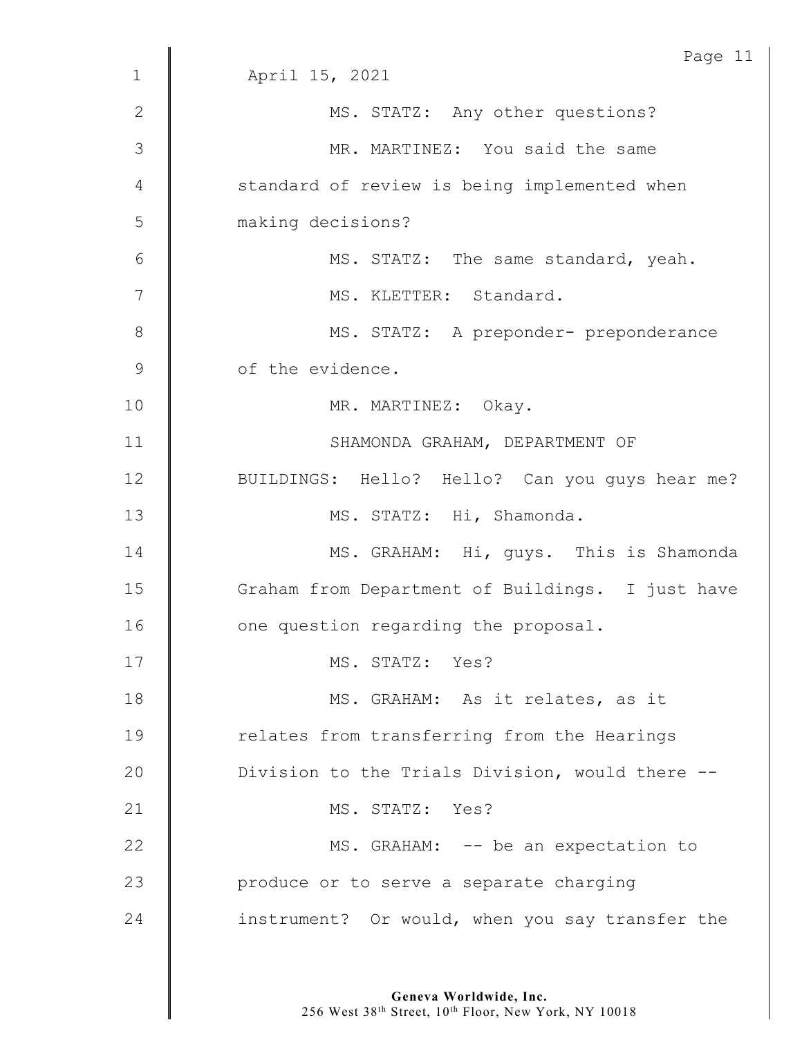| Page 11                                          |
|--------------------------------------------------|
| April 15, 2021                                   |
| MS. STATZ: Any other questions?                  |
| MR. MARTINEZ: You said the same                  |
| standard of review is being implemented when     |
| making decisions?                                |
| MS. STATZ: The same standard, yeah.              |
| MS. KLETTER: Standard.                           |
| MS. STATZ: A preponder- preponderance            |
| of the evidence.                                 |
| MR. MARTINEZ: Okay.                              |
| SHAMONDA GRAHAM, DEPARTMENT OF                   |
| BUILDINGS: Hello? Hello? Can you guys hear me?   |
| MS. STATZ: Hi, Shamonda.                         |
| MS. GRAHAM: Hi, guys. This is Shamonda           |
| Graham from Department of Buildings. I just have |
| one question regarding the proposal.             |
| MS. STATZ: Yes?                                  |
| MS. GRAHAM: As it relates, as it                 |
| relates from transferring from the Hearings      |
| Division to the Trials Division, would there --  |
| MS. STATZ: Yes?                                  |
| MS. GRAHAM: -- be an expectation to              |
| produce or to serve a separate charging          |
| instrument? Or would, when you say transfer the  |
|                                                  |

**Geneva Worldwide, Inc.**

256 West 38th Street, 10th Floor, New York, NY 10018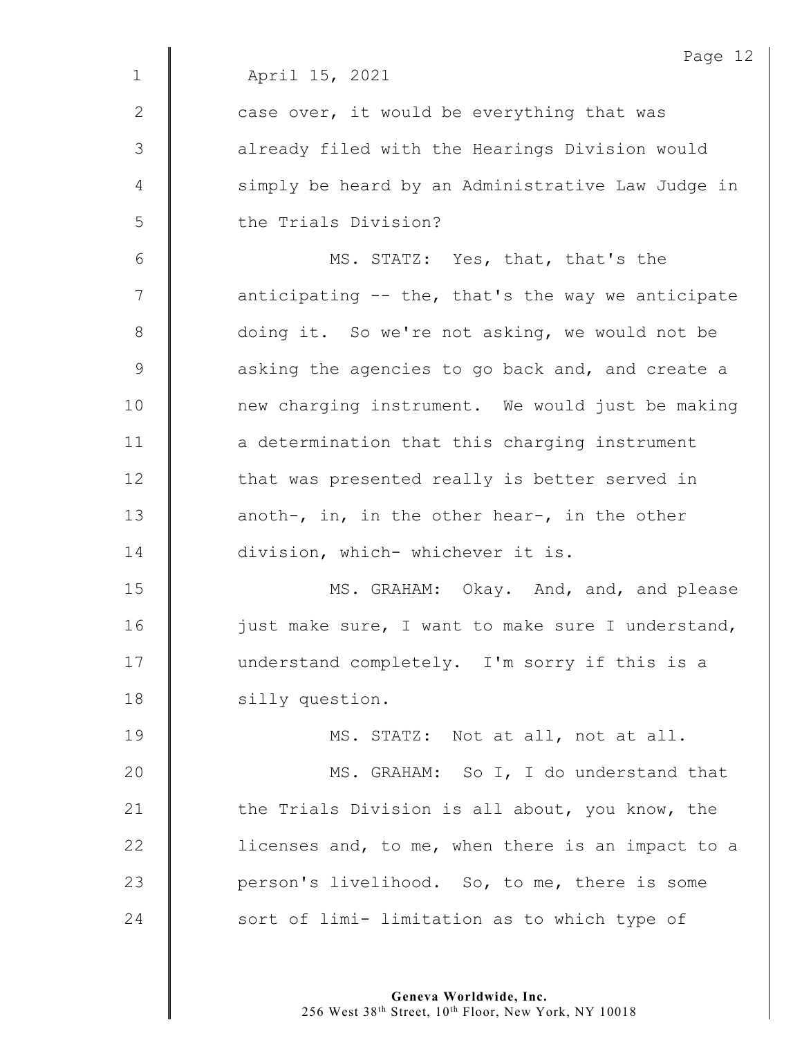|                | Page 12                                           |
|----------------|---------------------------------------------------|
| $\mathbf{1}$   | April 15, 2021                                    |
| 2              | case over, it would be everything that was        |
| 3              | already filed with the Hearings Division would    |
| 4              | simply be heard by an Administrative Law Judge in |
| 5              | the Trials Division?                              |
| 6              | MS. STATZ: Yes, that, that's the                  |
| $\overline{7}$ | anticipating -- the, that's the way we anticipate |
| $8\,$          | doing it. So we're not asking, we would not be    |
| $\mathsf 9$    | asking the agencies to go back and, and create a  |
| 10             | new charging instrument. We would just be making  |
| 11             | a determination that this charging instrument     |
| 12             | that was presented really is better served in     |
| 13             | anoth-, in, in the other hear-, in the other      |
| 14             | division, which- whichever it is.                 |
| 15             | MS. GRAHAM: Okay. And, and, and please            |
| 16             | just make sure, I want to make sure I understand, |
| 17             | understand completely. I'm sorry if this is a     |
| 18             | silly question.                                   |
| 19             | MS. STATZ: Not at all, not at all.                |
| 20             | MS. GRAHAM: So I, I do understand that            |
| 21             | the Trials Division is all about, you know, the   |
| 22             | licenses and, to me, when there is an impact to a |
| 23             | person's livelihood. So, to me, there is some     |
| 24             | sort of limi- limitation as to which type of      |
|                |                                                   |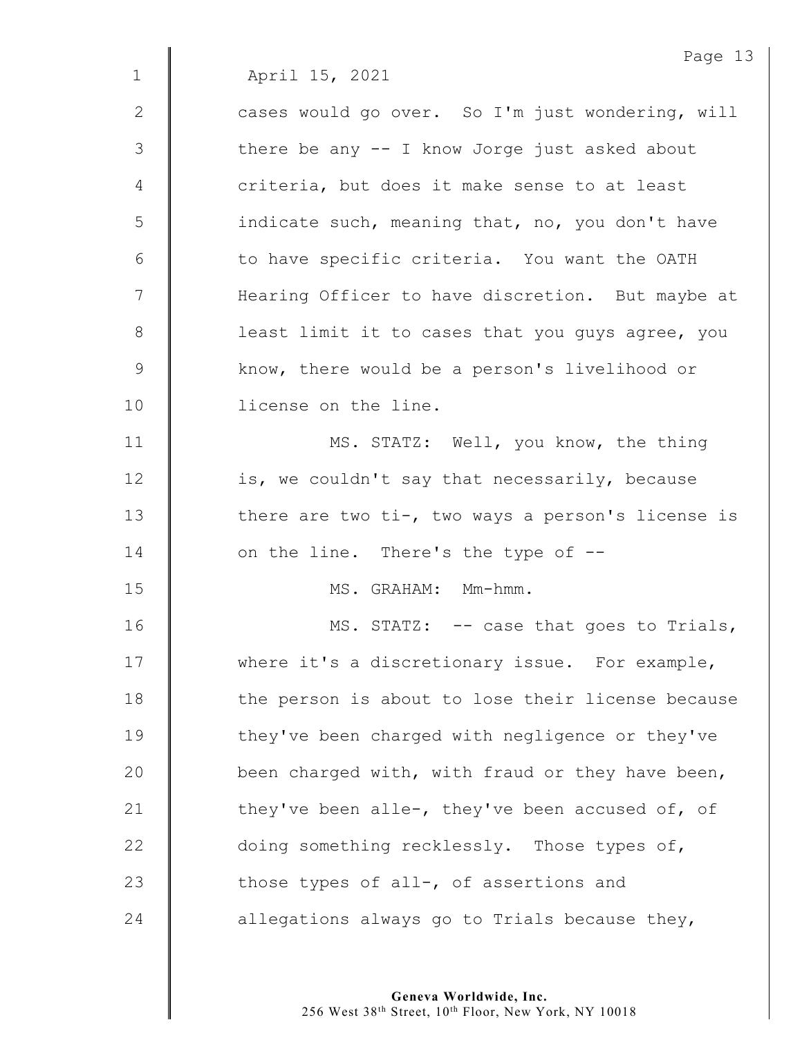Page 13 1 April 15, 2021 2 | cases would go over. So I'm just wondering, will 3 | there be any -- I know Jorge just asked about 4 | criteria, but does it make sense to at least 5 | indicate such, meaning that, no, you don't have 6 | to have specific criteria. You want the OATH 7 | Hearing Officer to have discretion. But maybe at 8 | least limit it to cases that you guys agree, you 9 Know, there would be a person's livelihood or 10 | license on the line. 11 | MS. STATZ: Well, you know, the thing 12  $\parallel$  is, we couldn't say that necessarily, because 13  $\parallel$  there are two ti-, two ways a person's license is 14  $\parallel$  on the line. There's the type of  $-$ 15 MS. GRAHAM: Mm-hmm. 16 | MS. STATZ: -- case that goes to Trials, 17 Where it's a discretionary issue. For example, 18 | the person is about to lose their license because 19 They've been charged with negligence or they've 20  $\parallel$  been charged with, with fraud or they have been, 21  $\parallel$  they've been alle-, they've been accused of, of 22  $\parallel$  doing something recklessly. Those types of, 23  $\parallel$  those types of all-, of assertions and 24  $\parallel$  allegations always go to Trials because they,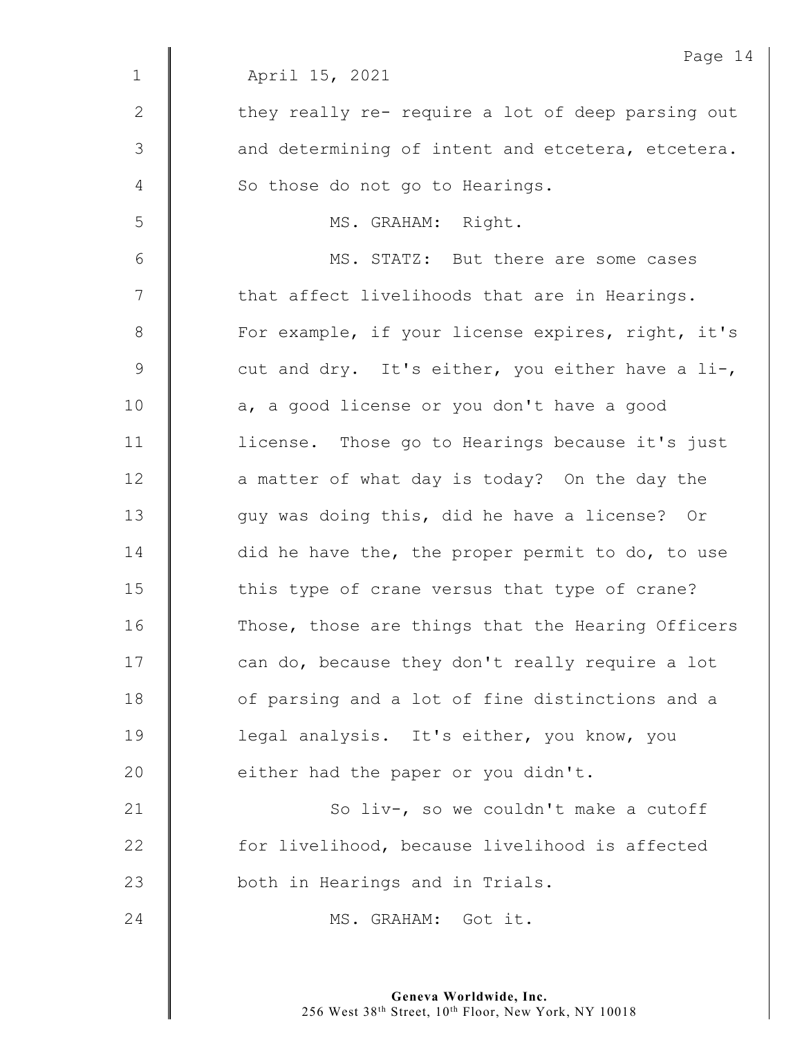|             | Page 14                                           |
|-------------|---------------------------------------------------|
| $\mathbf 1$ | April 15, 2021                                    |
| 2           | they really re- require a lot of deep parsing out |
| 3           | and determining of intent and etcetera, etcetera. |
| 4           | So those do not go to Hearings.                   |
| 5           | MS. GRAHAM: Right.                                |
| 6           | MS. STATZ: But there are some cases               |
| 7           | that affect livelihoods that are in Hearings.     |
| $8\,$       | For example, if your license expires, right, it's |
| $\mathsf 9$ | cut and dry. It's either, you either have a li-,  |
| 10          | a, a good license or you don't have a good        |
| 11          | license. Those go to Hearings because it's just   |
| 12          | a matter of what day is today? On the day the     |
| 13          | guy was doing this, did he have a license? Or     |
| 14          | did he have the, the proper permit to do, to use  |
| 15          | this type of crane versus that type of crane?     |
| 16          | Those, those are things that the Hearing Officers |
| 17          | can do, because they don't really require a lot   |
| 18          | of parsing and a lot of fine distinctions and a   |
| 19          | legal analysis. It's either, you know, you        |
| 20          | either had the paper or you didn't.               |
| 21          | So liv-, so we couldn't make a cutoff             |
| 22          | for livelihood, because livelihood is affected    |
| 23          | both in Hearings and in Trials.                   |
| 24          | MS. GRAHAM: Got it.                               |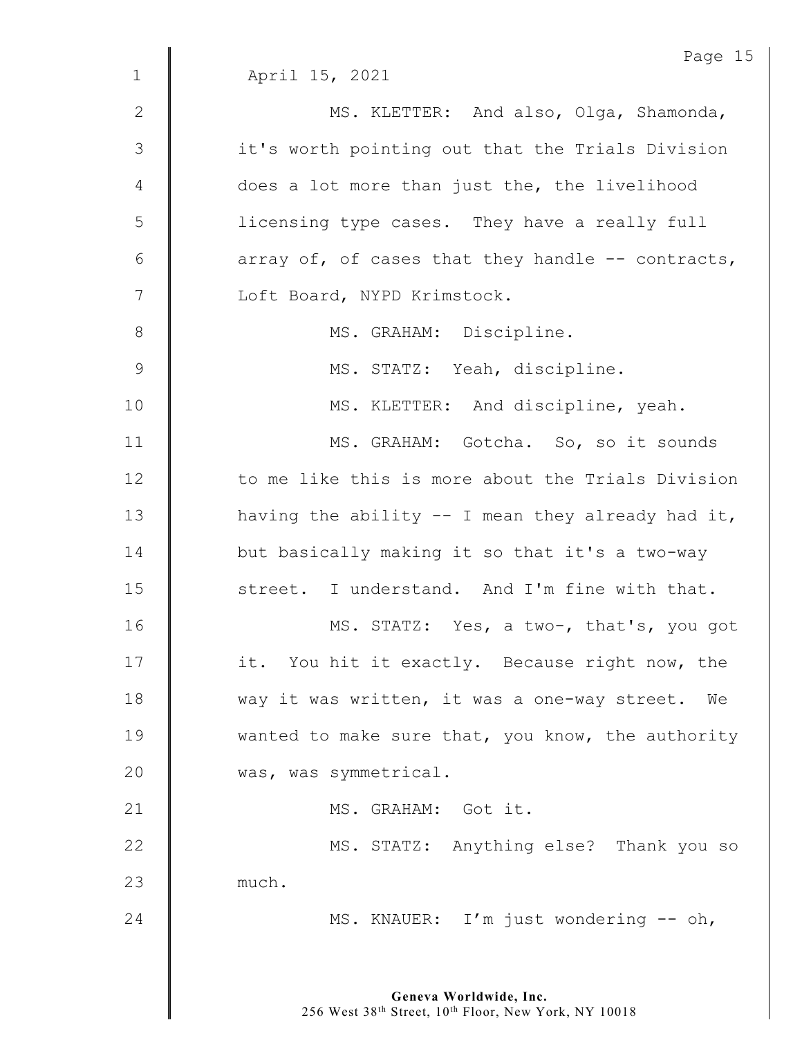|              | Page 15                                            |
|--------------|----------------------------------------------------|
| $\mathbf{1}$ | April 15, 2021                                     |
| $\mathbf{2}$ | MS. KLETTER: And also, Olga, Shamonda,             |
| 3            | it's worth pointing out that the Trials Division   |
| 4            | does a lot more than just the, the livelihood      |
| 5            | licensing type cases. They have a really full      |
| $\epsilon$   | array of, of cases that they handle -- contracts,  |
| 7            | Loft Board, NYPD Krimstock.                        |
| $8\,$        | MS. GRAHAM: Discipline.                            |
| $\mathsf 9$  | MS. STATZ: Yeah, discipline.                       |
| 10           | MS. KLETTER: And discipline, yeah.                 |
| 11           | MS. GRAHAM: Gotcha. So, so it sounds               |
| 12           | to me like this is more about the Trials Division  |
| 13           | having the ability $-$ I mean they already had it, |
| 14           | but basically making it so that it's a two-way     |
| 15           | street. I understand. And I'm fine with that.      |
| 16           | MS. STATZ: Yes, a two-, that's, you got            |
| 17           | it. You hit it exactly. Because right now, the     |
| 18           | way it was written, it was a one-way street. We    |
| 19           | wanted to make sure that, you know, the authority  |
| 20           | was, was symmetrical.                              |
| 21           | MS. GRAHAM: Got it.                                |
| 22           | MS. STATZ: Anything else? Thank you so             |
| 23           | much.                                              |
| 24           | MS. KNAUER: I'm just wondering -- oh,              |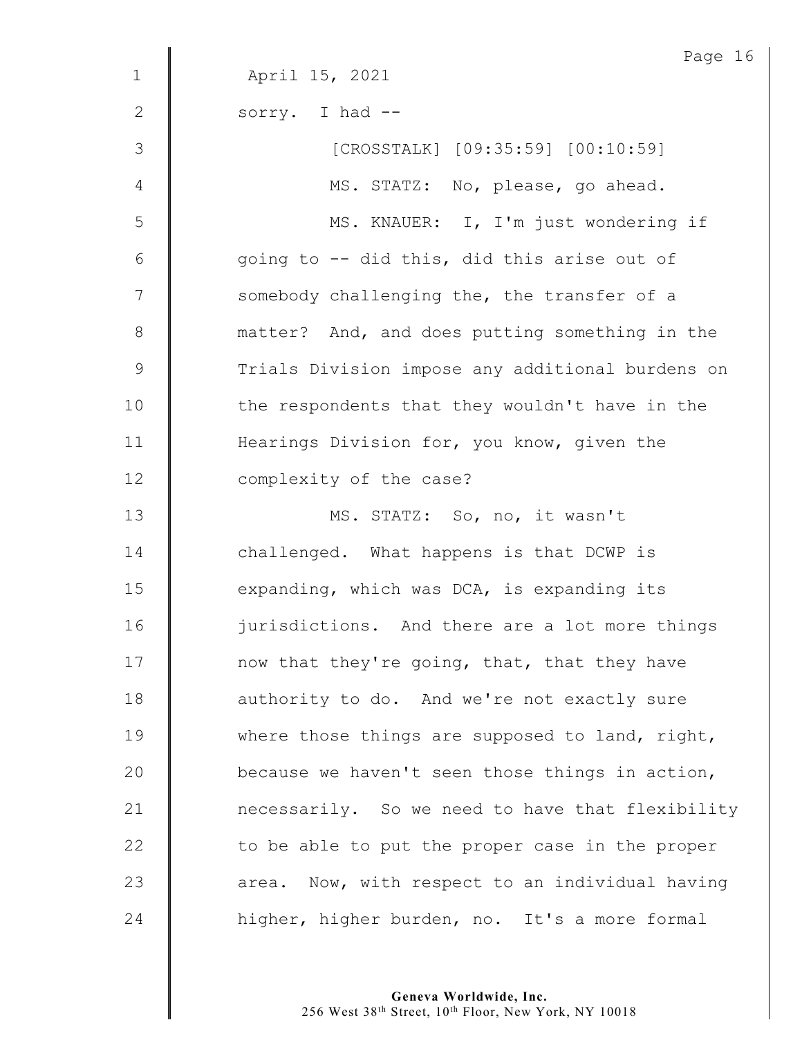|              | Page 16                                          |
|--------------|--------------------------------------------------|
| $\mathbf 1$  | April 15, 2021                                   |
| $\mathbf{2}$ | sorry. I had --                                  |
| 3            | [CROSSTALK] [09:35:59] [00:10:59]                |
| 4            | MS. STATZ: No, please, go ahead.                 |
| 5            | MS. KNAUER: I, I'm just wondering if             |
| 6            | going to -- did this, did this arise out of      |
| 7            | somebody challenging the, the transfer of a      |
| $8\,$        | matter? And, and does putting something in the   |
| $\mathsf 9$  | Trials Division impose any additional burdens on |
| 10           | the respondents that they wouldn't have in the   |
| 11           | Hearings Division for, you know, given the       |
| 12           | complexity of the case?                          |
| 13           | MS. STATZ: So, no, it wasn't                     |
| 14           | challenged. What happens is that DCWP is         |
| 15           | expanding, which was DCA, is expanding its       |
| 16           | jurisdictions. And there are a lot more things   |
| 17           | now that they're going, that, that they have     |
| 18           | authority to do. And we're not exactly sure      |
| 19           | where those things are supposed to land, right,  |
| 20           | because we haven't seen those things in action,  |
| 21           | necessarily. So we need to have that flexibility |
| 22           | to be able to put the proper case in the proper  |
| 23           | area. Now, with respect to an individual having  |
| 24           | higher, higher burden, no. It's a more formal    |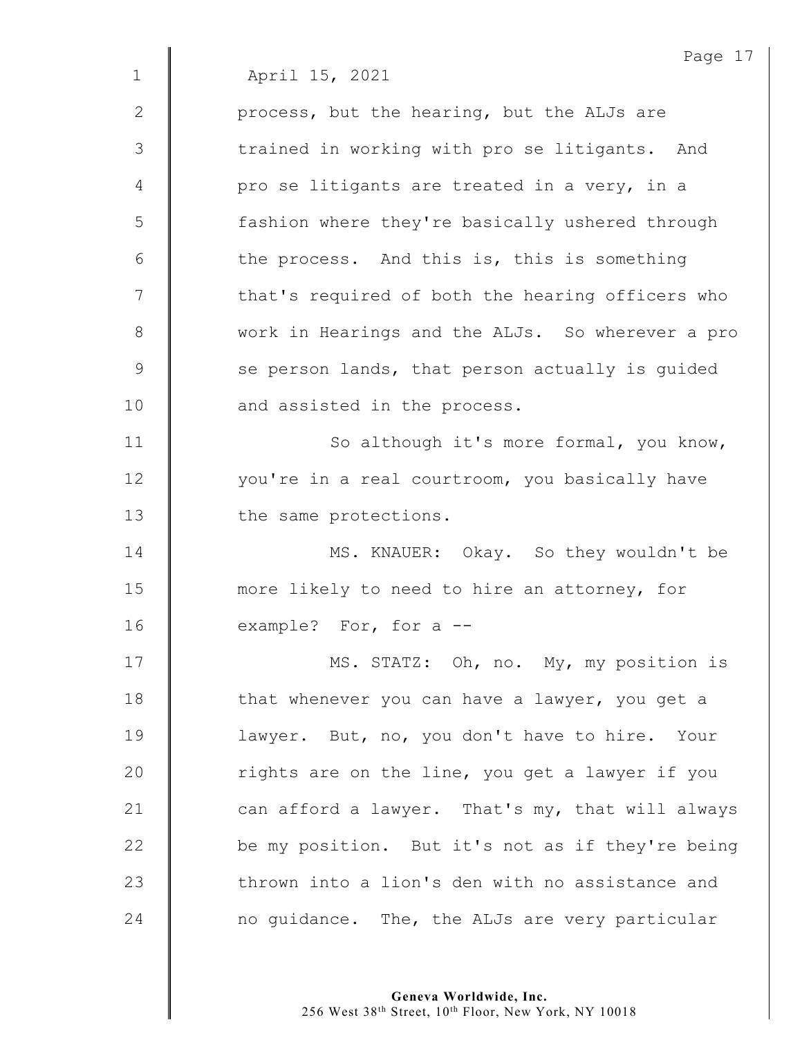|              | Page 17                                          |
|--------------|--------------------------------------------------|
| $\mathbf 1$  | April 15, 2021                                   |
| $\mathbf{2}$ | process, but the hearing, but the ALJs are       |
| 3            | trained in working with pro se litigants. And    |
| 4            | pro se litigants are treated in a very, in a     |
| 5            | fashion where they're basically ushered through  |
| 6            | the process. And this is, this is something      |
| 7            | that's required of both the hearing officers who |
| $8\,$        | work in Hearings and the ALJs. So wherever a pro |
| 9            | se person lands, that person actually is quided  |
| 10           | and assisted in the process.                     |
| 11           | So although it's more formal, you know,          |
| 12           | you're in a real courtroom, you basically have   |
| 13           | the same protections.                            |
| 14           | MS. KNAUER: Okay. So they wouldn't be            |
| 15           | more likely to need to hire an attorney, for     |
| 16           | example? For, for a --                           |
| 17           | MS. STATZ: Oh, no. My, my position is            |
| 18           | that whenever you can have a lawyer, you get a   |
| 19           | lawyer. But, no, you don't have to hire. Your    |
| 20           | rights are on the line, you get a lawyer if you  |
| 21           | can afford a lawyer. That's my, that will always |
| 22           | be my position. But it's not as if they're being |
| 23           | thrown into a lion's den with no assistance and  |
| 24           | no guidance. The, the ALJs are very particular   |
|              |                                                  |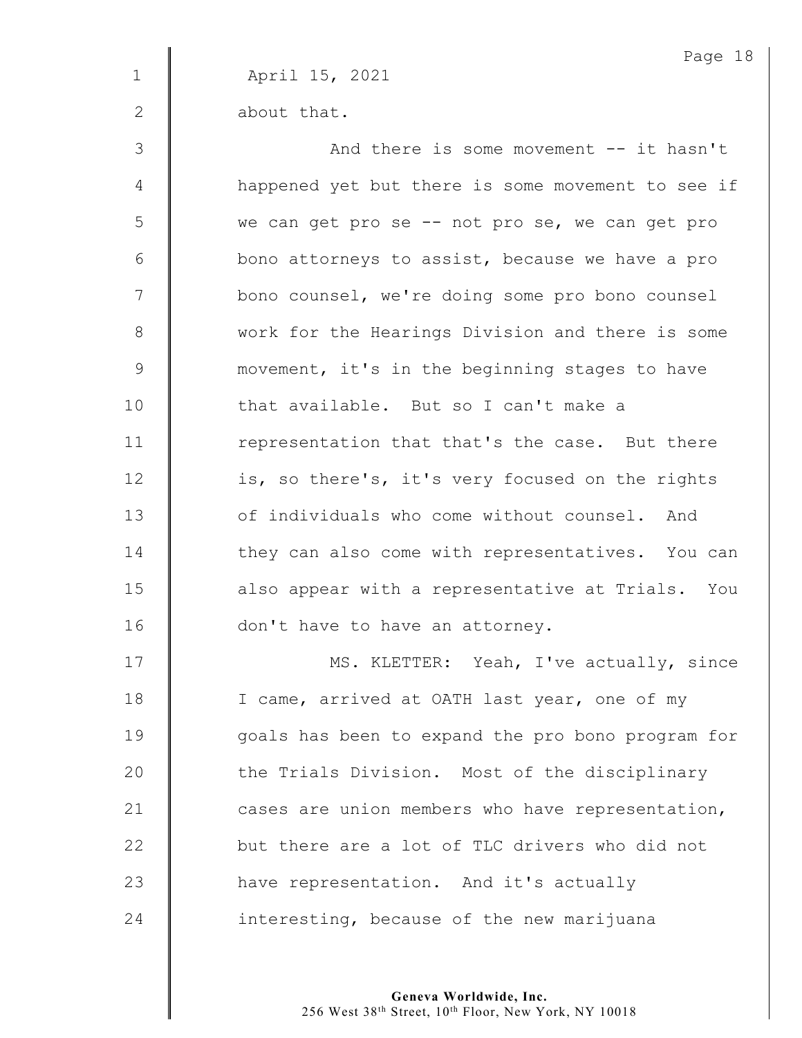Page 18 1 April 15, 2021 2 **b** about that. 3 || And there is some movement -- it hasn't 4 | happened yet but there is some movement to see if 5 | we can get pro se -- not pro se, we can get pro  $6 \parallel$  bono attorneys to assist, because we have a pro 7 | bono counsel, we're doing some pro bono counsel 8 work for the Hearings Division and there is some 9 **wavement, it's in the beginning stages to have** 10 | that available. But so I can't make a 11 Tepresentation that that's the case. But there 12 | is, so there's, it's very focused on the rights 13 **Jube 12** of individuals who come without counsel. And 14 They can also come with representatives. You can 15 | also appear with a representative at Trials. You 16 | don't have to have an attorney. 17 | MS. KLETTER: Yeah, I've actually, since 18 | I came, arrived at OATH last year, one of my 19 | qoals has been to expand the pro bono program for 20 **the Trials Division.** Most of the disciplinary 21  $\parallel$  cases are union members who have representation,

23 **A** have representation. And it's actually  $24$  | interesting, because of the new marijuana

22  $\parallel$  but there are a lot of TLC drivers who did not

**Geneva Worldwide, Inc.**

256 West 38th Street, 10th Floor, New York, NY 10018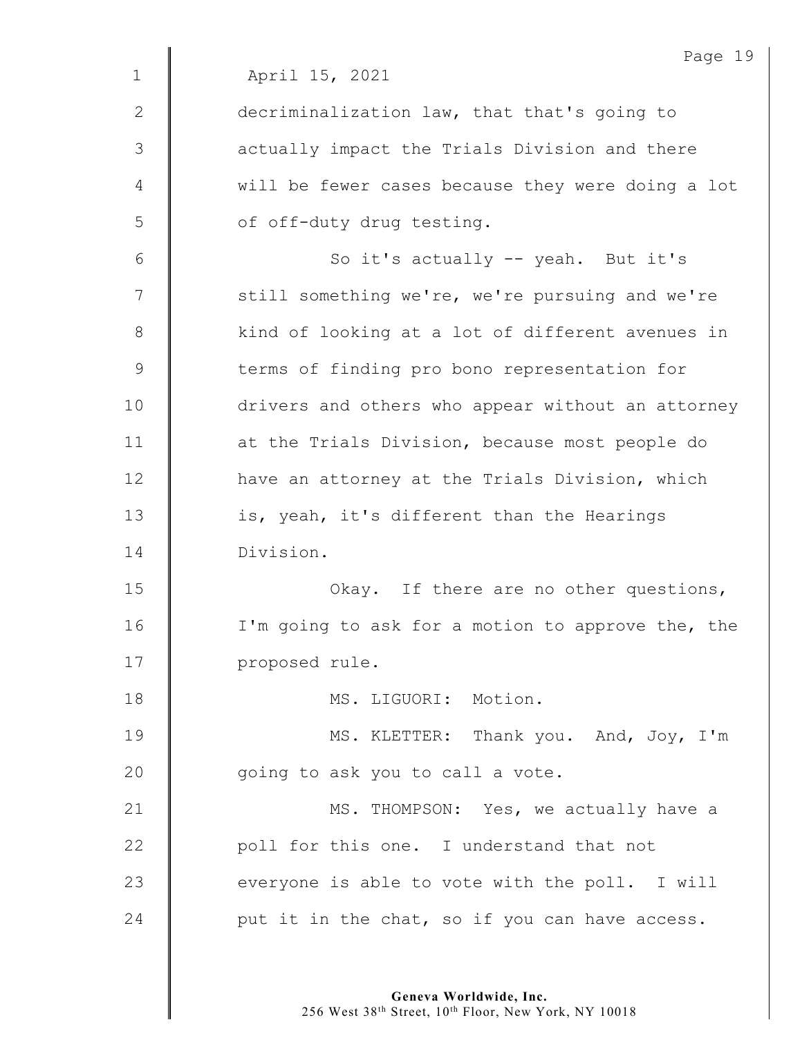|                | Page 19                                           |
|----------------|---------------------------------------------------|
| $\mathbf 1$    | April 15, 2021                                    |
| 2              | decriminalization law, that that's going to       |
| 3              | actually impact the Trials Division and there     |
| 4              | will be fewer cases because they were doing a lot |
| 5              | of off-duty drug testing.                         |
| 6              | So it's actually -- yeah. But it's                |
| $\overline{7}$ | still something we're, we're pursuing and we're   |
| $8\,$          | kind of looking at a lot of different avenues in  |
| $\mathcal{G}$  | terms of finding pro bono representation for      |
| 10             | drivers and others who appear without an attorney |
| 11             | at the Trials Division, because most people do    |
| 12             | have an attorney at the Trials Division, which    |
| 13             | is, yeah, it's different than the Hearings        |
| 14             | Division.                                         |
| 15             | Okay. If there are no other questions,            |
| 16             | I'm going to ask for a motion to approve the, the |
| 17             | proposed rule.                                    |
| 18             | MS. LIGUORI: Motion.                              |
| 19             | MS. KLETTER: Thank you. And, Joy, I'm             |
| 20             | going to ask you to call a vote.                  |
| 21             | MS. THOMPSON: Yes, we actually have a             |
| 22             | poll for this one. I understand that not          |
| 23             | everyone is able to vote with the poll. I will    |
| 24             | put it in the chat, so if you can have access.    |
|                |                                                   |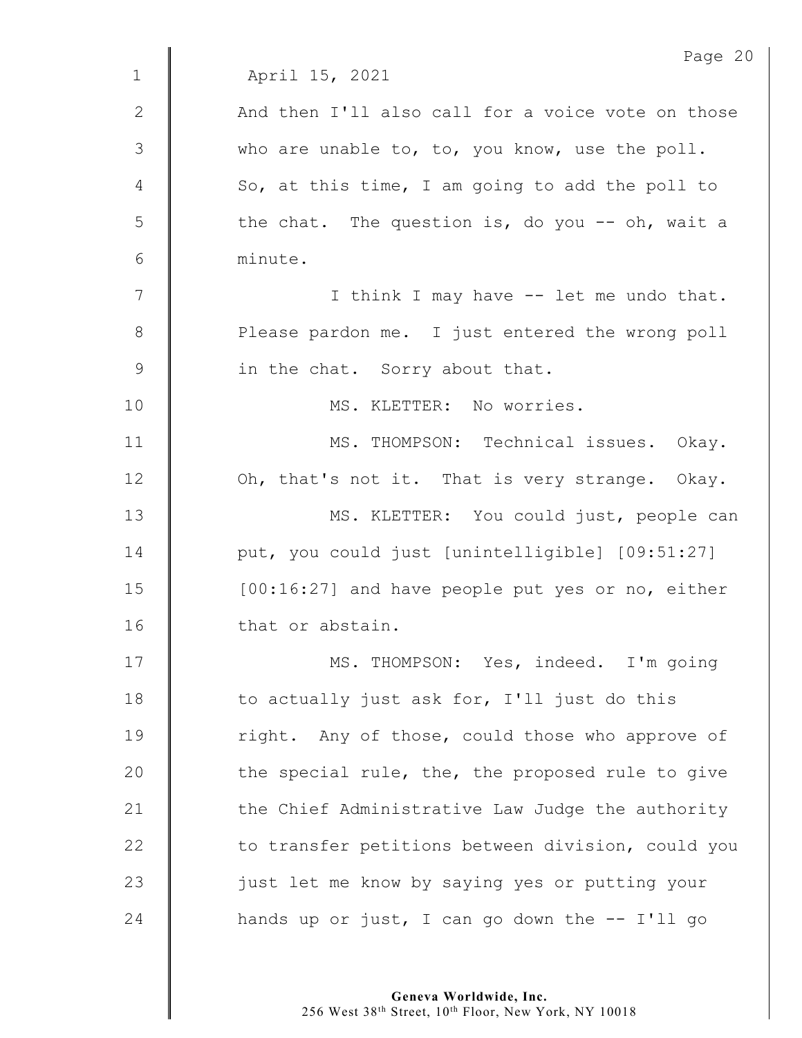|                 | Page 20                                           |
|-----------------|---------------------------------------------------|
| $\mathbf{1}$    | April 15, 2021                                    |
| $\mathbf{2}$    | And then I'll also call for a voice vote on those |
| 3               | who are unable to, to, you know, use the poll.    |
| 4               | So, at this time, I am going to add the poll to   |
| 5               | the chat. The question is, do you -- oh, wait a   |
| $6\phantom{.}6$ | minute.                                           |
| 7               | I think I may have -- let me undo that.           |
| $8\,$           | Please pardon me. I just entered the wrong poll   |
| $\mathcal{G}$   | in the chat. Sorry about that.                    |
| 10              | MS. KLETTER: No worries.                          |
| 11              | MS. THOMPSON: Technical issues. Okay.             |
| 12              | Oh, that's not it. That is very strange. Okay.    |
| 13              | MS. KLETTER: You could just, people can           |
| 14              | put, you could just [unintelligible] [09:51:27]   |
| 15              | [00:16:27] and have people put yes or no, either  |
| 16              | that or abstain.                                  |
| 17              | MS. THOMPSON: Yes, indeed. I'm going              |
| 18              | to actually just ask for, I'll just do this       |
| 19              | right. Any of those, could those who approve of   |
| 20              | the special rule, the, the proposed rule to give  |
| 21              | the Chief Administrative Law Judge the authority  |
| 22              | to transfer petitions between division, could you |
| 23              | just let me know by saying yes or putting your    |
| 24              | hands up or just, I can go down the -- I'll go    |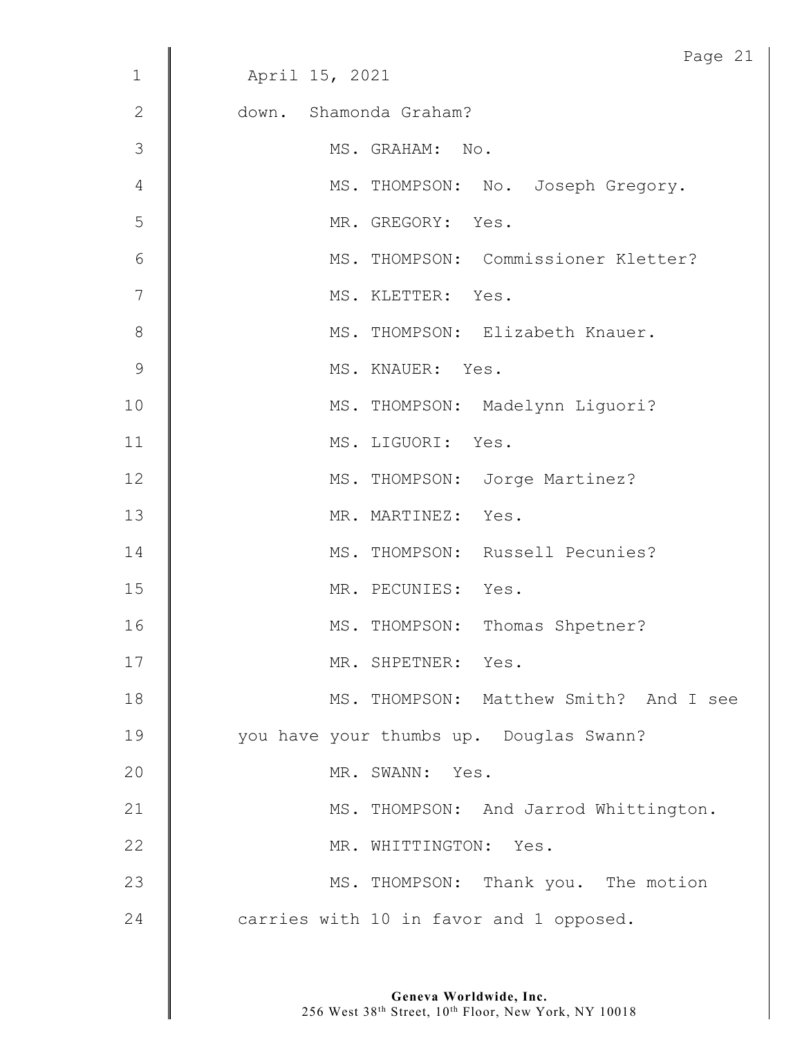|              | Page 21                                 |
|--------------|-----------------------------------------|
| $\mathbf 1$  | April 15, 2021                          |
| $\mathbf{2}$ | down. Shamonda Graham?                  |
| 3            | MS. GRAHAM: No.                         |
| 4            | MS. THOMPSON: No. Joseph Gregory.       |
| 5            | MR. GREGORY: Yes.                       |
| 6            | MS. THOMPSON: Commissioner Kletter?     |
| 7            | MS. KLETTER: Yes.                       |
| $\,8\,$      | MS. THOMPSON: Elizabeth Knauer.         |
| $\mathsf 9$  | MS. KNAUER: Yes.                        |
| 10           | MS. THOMPSON: Madelynn Liguori?         |
| 11           | MS. LIGUORI: Yes.                       |
| 12           | MS. THOMPSON: Jorge Martinez?           |
| 13           | MR. MARTINEZ: Yes.                      |
| 14           | MS. THOMPSON: Russell Pecunies?         |
| 15           | MR. PECUNIES: Yes.                      |
| 16           | MS. THOMPSON: Thomas Shpetner?          |
| 17           | MR. SHPETNER: Yes.                      |
| 18           | MS. THOMPSON: Matthew Smith? And I see  |
| 19           | you have your thumbs up. Douglas Swann? |
| 20           | MR. SWANN: Yes.                         |
| 21           | MS. THOMPSON: And Jarrod Whittington.   |
| 22           | MR. WHITTINGTON: Yes.                   |
| 23           | MS. THOMPSON: Thank you. The motion     |
| 24           | carries with 10 in favor and 1 opposed. |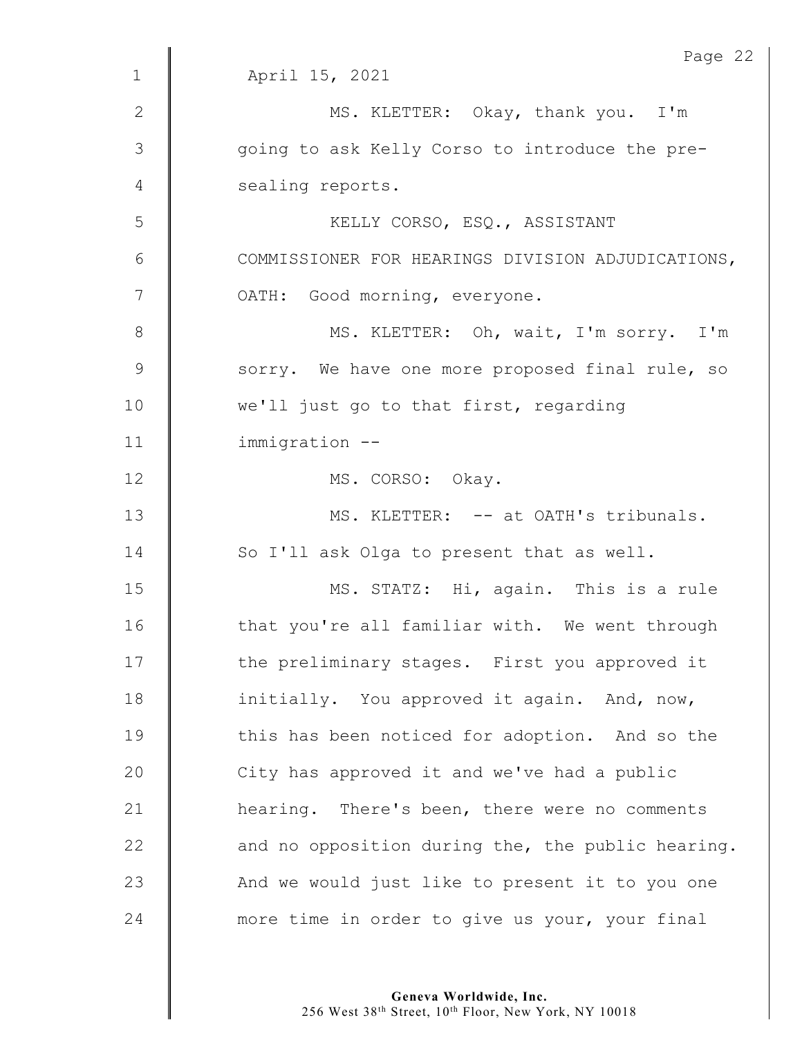|                | Page 22                                           |
|----------------|---------------------------------------------------|
| $\mathbf 1$    | April 15, 2021                                    |
| $\mathbf{2}$   | MS. KLETTER: Okay, thank you. I'm                 |
| $\mathfrak{Z}$ | going to ask Kelly Corso to introduce the pre-    |
| 4              | sealing reports.                                  |
| 5              | KELLY CORSO, ESQ., ASSISTANT                      |
| 6              | COMMISSIONER FOR HEARINGS DIVISION ADJUDICATIONS, |
| 7              | OATH: Good morning, everyone.                     |
| $\,8\,$        | MS. KLETTER: Oh, wait, I'm sorry. I'm             |
| $\mathsf 9$    | sorry. We have one more proposed final rule, so   |
| 10             | we'll just go to that first, regarding            |
| 11             | immigration --                                    |
| 12             | MS. CORSO: Okay.                                  |
| 13             | MS. KLETTER: -- at OATH's tribunals.              |
| 14             | So I'll ask Olga to present that as well.         |
| 15             | MS. STATZ: Hi, again. This is a rule              |
| 16             | that you're all familiar with. We went through    |
| 17             | the preliminary stages. First you approved it     |
| 18             | initially. You approved it again. And, now,       |
| 19             | this has been noticed for adoption. And so the    |
| 20             | City has approved it and we've had a public       |
| 21             | hearing. There's been, there were no comments     |
| 22             | and no opposition during the, the public hearing. |
| 23             | And we would just like to present it to you one   |
| 24             | more time in order to give us your, your final    |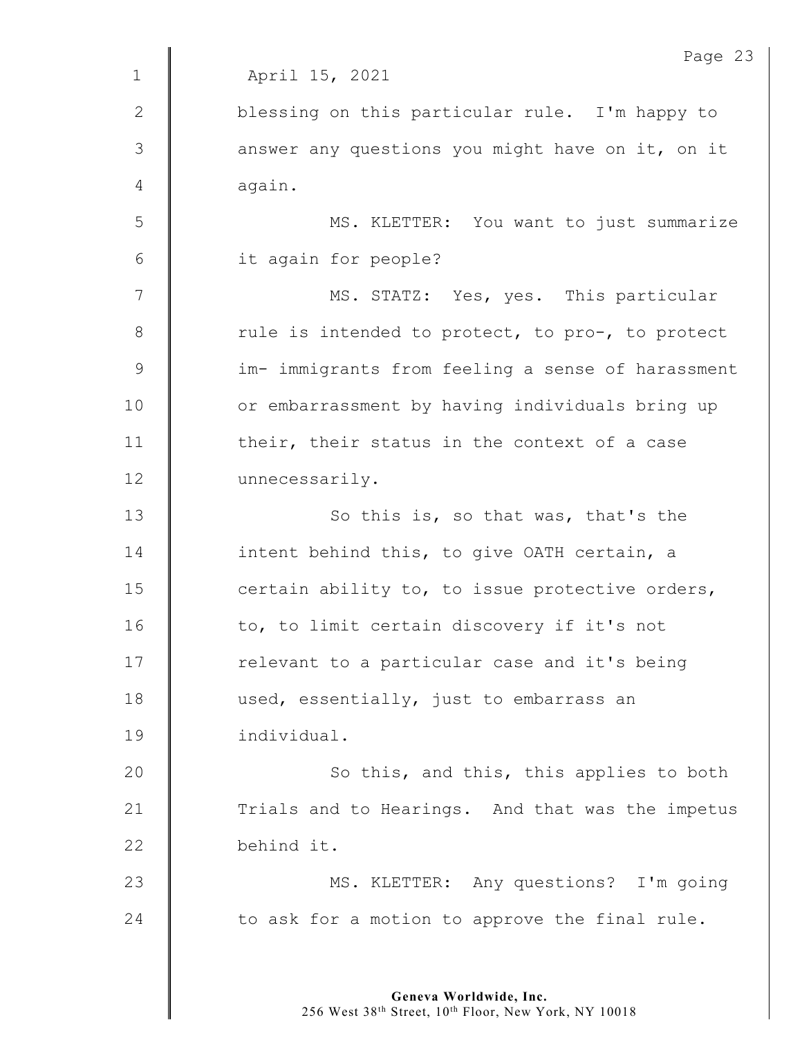|                | Page 23                                           |
|----------------|---------------------------------------------------|
| $\mathbf 1$    | April 15, 2021                                    |
| 2              | blessing on this particular rule. I'm happy to    |
| 3              | answer any questions you might have on it, on it  |
| 4              | again.                                            |
| 5              | MS. KLETTER: You want to just summarize           |
| 6              | it again for people?                              |
| $\overline{7}$ | MS. STATZ: Yes, yes. This particular              |
| $8\,$          | rule is intended to protect, to pro-, to protect  |
| $\mathsf 9$    | im- immigrants from feeling a sense of harassment |
| 10             | or embarrassment by having individuals bring up   |
| 11             | their, their status in the context of a case      |
| 12             | unnecessarily.                                    |
| 13             | So this is, so that was, that's the               |
| 14             | intent behind this, to give OATH certain, a       |
| 15             | certain ability to, to issue protective orders,   |
| 16             | to, to limit certain discovery if it's not        |
| 17             | relevant to a particular case and it's being      |
| 18             | used, essentially, just to embarrass an           |
| 19             | individual.                                       |
| 20             | So this, and this, this applies to both           |
| 21             | Trials and to Hearings. And that was the impetus  |
| 22             | behind it.                                        |
| 23             | MS. KLETTER: Any questions? I'm going             |
| 24             | to ask for a motion to approve the final rule.    |
|                |                                                   |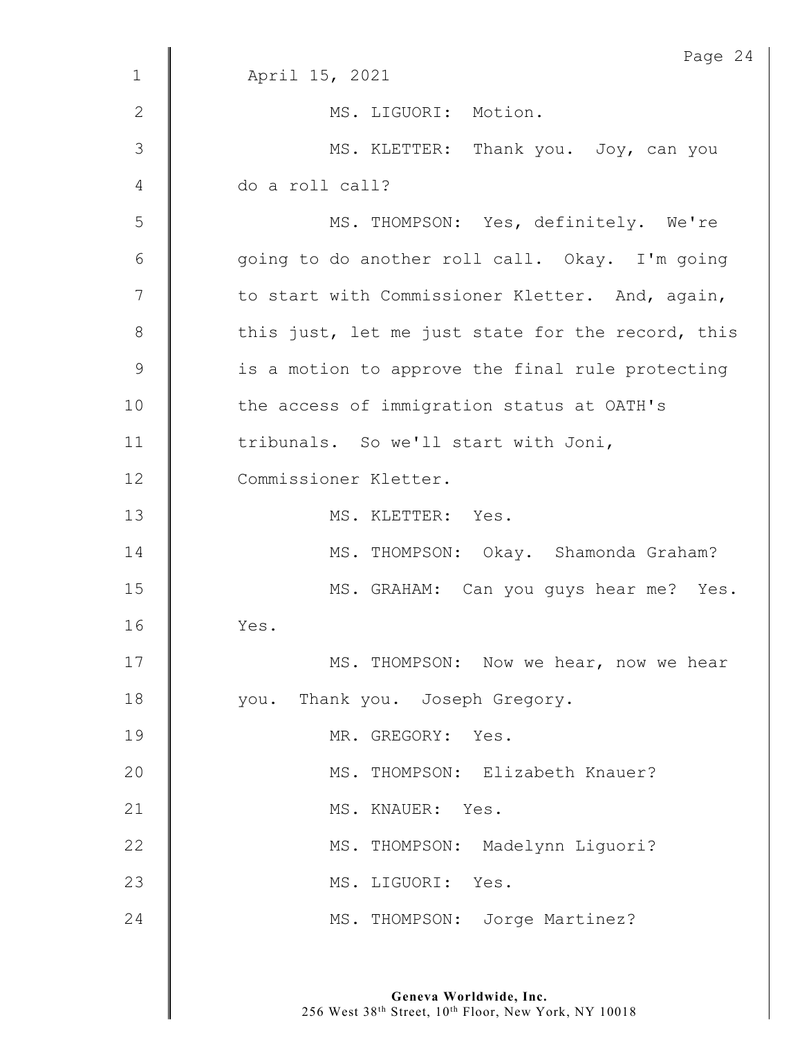|                | Page 24                                           |
|----------------|---------------------------------------------------|
| $\mathbf 1$    | April 15, 2021                                    |
| 2              | MS. LIGUORI: Motion.                              |
| 3              | MS. KLETTER: Thank you. Joy, can you              |
| 4              | do a roll call?                                   |
| 5              | MS. THOMPSON: Yes, definitely. We're              |
| 6              | going to do another roll call. Okay. I'm going    |
| $\overline{7}$ | to start with Commissioner Kletter. And, again,   |
| $8\,$          | this just, let me just state for the record, this |
| 9              | is a motion to approve the final rule protecting  |
| 10             | the access of immigration status at OATH's        |
| 11             | tribunals. So we'll start with Joni,              |
| 12             | Commissioner Kletter.                             |
| 13             | MS. KLETTER: Yes.                                 |
| 14             | MS. THOMPSON: Okay. Shamonda Graham?              |
| 15             | MS. GRAHAM: Can you guys hear me? Yes.            |
| 16             | Yes.                                              |
| 17             | MS. THOMPSON: Now we hear, now we hear            |
| 18             | you. Thank you. Joseph Gregory.                   |
| 19             | MR. GREGORY: Yes.                                 |
| 20             | MS. THOMPSON: Elizabeth Knauer?                   |
| 21             | MS. KNAUER: Yes.                                  |
| 22             | MS. THOMPSON: Madelynn Liguori?                   |
| 23             | MS. LIGUORI: Yes.                                 |
| 24             | MS. THOMPSON: Jorge Martinez?                     |
|                |                                                   |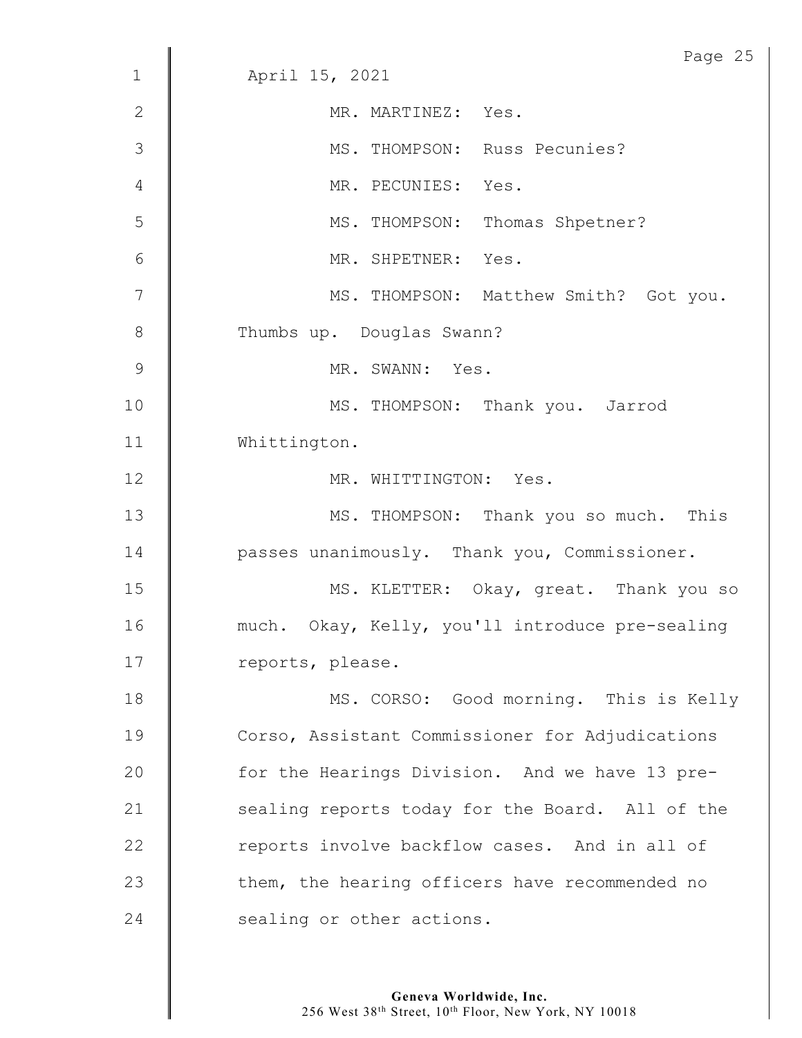|                 | Page 25                                         |  |  |  |
|-----------------|-------------------------------------------------|--|--|--|
| $\mathbf 1$     | April 15, 2021                                  |  |  |  |
| $\mathbf{2}$    | MR. MARTINEZ: Yes.                              |  |  |  |
| 3               | MS. THOMPSON: Russ Pecunies?                    |  |  |  |
| $\overline{4}$  | MR. PECUNIES: Yes.                              |  |  |  |
| 5               | MS. THOMPSON: Thomas Shpetner?                  |  |  |  |
| $6\phantom{1}6$ | MR. SHPETNER: Yes.                              |  |  |  |
| $\overline{7}$  | MS. THOMPSON: Matthew Smith? Got you.           |  |  |  |
| $8\,$           | Thumbs up. Douglas Swann?                       |  |  |  |
| 9               | MR. SWANN: Yes.                                 |  |  |  |
| 10              | MS. THOMPSON: Thank you. Jarrod                 |  |  |  |
| 11              | Whittington.                                    |  |  |  |
| 12              | MR. WHITTINGTON: Yes.                           |  |  |  |
| 13              | MS. THOMPSON: Thank you so much. This           |  |  |  |
| 14              | passes unanimously. Thank you, Commissioner.    |  |  |  |
| 15              | MS. KLETTER: Okay, great. Thank you so          |  |  |  |
| 16              | much. Okay, Kelly, you'll introduce pre-sealing |  |  |  |
| 17              | reports, please.                                |  |  |  |
| 18              | MS. CORSO: Good morning. This is Kelly          |  |  |  |
| 19              | Corso, Assistant Commissioner for Adjudications |  |  |  |
| 20              | for the Hearings Division. And we have 13 pre-  |  |  |  |
| 21              | sealing reports today for the Board. All of the |  |  |  |
| 22              | reports involve backflow cases. And in all of   |  |  |  |
| 23              | them, the hearing officers have recommended no  |  |  |  |
| 24              | sealing or other actions.                       |  |  |  |
|                 |                                                 |  |  |  |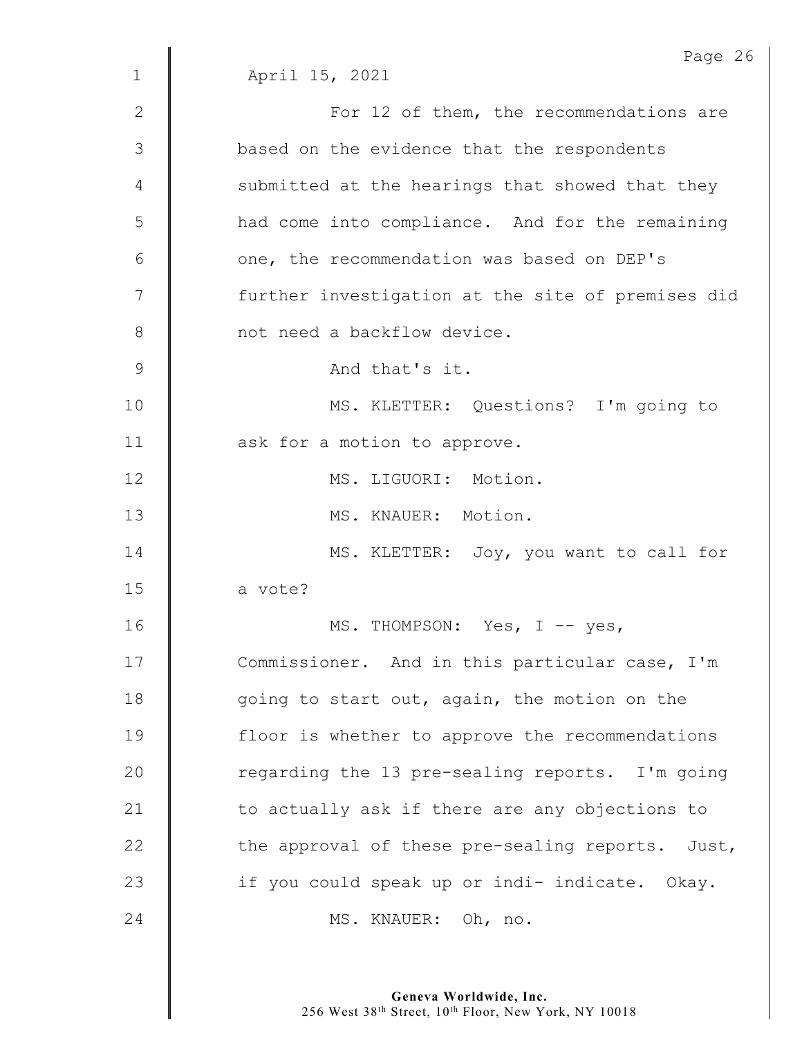|              | Page 26                                           |  |  |  |  |
|--------------|---------------------------------------------------|--|--|--|--|
| $\mathbf{1}$ | April 15, 2021                                    |  |  |  |  |
| 2            | For 12 of them, the recommendations are           |  |  |  |  |
| 3            | based on the evidence that the respondents        |  |  |  |  |
| 4            | submitted at the hearings that showed that they   |  |  |  |  |
| 5            | had come into compliance. And for the remaining   |  |  |  |  |
| 6            | one, the recommendation was based on DEP's        |  |  |  |  |
| 7            | further investigation at the site of premises did |  |  |  |  |
| $8\,$        | not need a backflow device.                       |  |  |  |  |
| $\mathsf 9$  | And that's it.                                    |  |  |  |  |
| 10           | MS. KLETTER: Questions? I'm going to              |  |  |  |  |
| 11           | ask for a motion to approve.                      |  |  |  |  |
| 12           | MS. LIGUORI: Motion.                              |  |  |  |  |
| 13           | MS. KNAUER: Motion.                               |  |  |  |  |
| 14           | MS. KLETTER: Joy, you want to call for            |  |  |  |  |
| 15           | a vote?                                           |  |  |  |  |
| 16           | MS. THOMPSON: Yes, I -- yes,                      |  |  |  |  |
| 17           | Commissioner. And in this particular case, I'm    |  |  |  |  |
| 18           | going to start out, again, the motion on the      |  |  |  |  |
| 19           | floor is whether to approve the recommendations   |  |  |  |  |
| 20           | regarding the 13 pre-sealing reports. I'm going   |  |  |  |  |
| 21           | to actually ask if there are any objections to    |  |  |  |  |
| 22           | the approval of these pre-sealing reports. Just,  |  |  |  |  |
| 23           | if you could speak up or indi- indicate. Okay.    |  |  |  |  |
| 24           | MS. KNAUER: Oh, no.                               |  |  |  |  |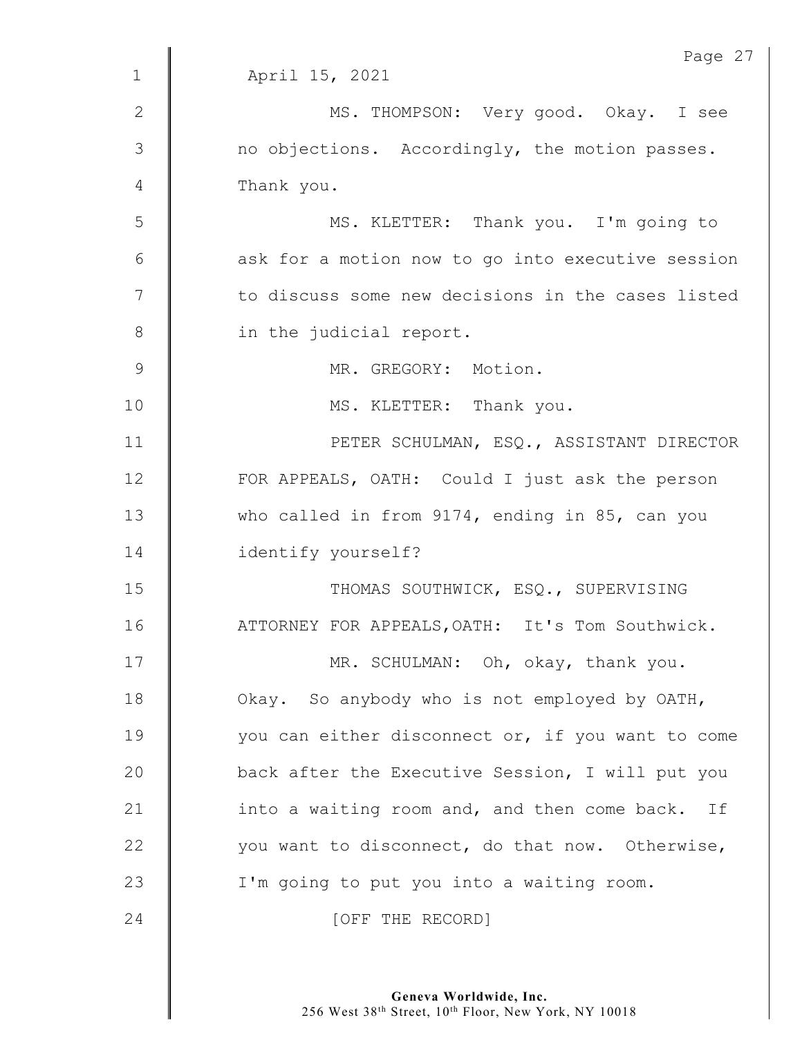|               | Page 27                                           |
|---------------|---------------------------------------------------|
| $\mathbf{1}$  | April 15, 2021                                    |
| 2             | MS. THOMPSON: Very good. Okay. I see              |
| 3             | no objections. Accordingly, the motion passes.    |
| 4             | Thank you.                                        |
| 5             | MS. KLETTER: Thank you. I'm going to              |
| 6             | ask for a motion now to go into executive session |
| 7             | to discuss some new decisions in the cases listed |
| $8\,$         | in the judicial report.                           |
| $\mathcal{G}$ | MR. GREGORY: Motion.                              |
| 10            | MS. KLETTER: Thank you.                           |
| 11            | PETER SCHULMAN, ESQ., ASSISTANT DIRECTOR          |
| 12            | FOR APPEALS, OATH: Could I just ask the person    |
| 13            | who called in from 9174, ending in 85, can you    |
| 14            | identify yourself?                                |
| 15            | THOMAS SOUTHWICK, ESQ., SUPERVISING               |
| 16            | ATTORNEY FOR APPEALS, OATH: It's Tom Southwick.   |
| 17            | MR. SCHULMAN: Oh, okay, thank you.                |
| 18            | Okay. So anybody who is not employed by OATH,     |
| 19            | you can either disconnect or, if you want to come |
| 20            | back after the Executive Session, I will put you  |
| 21            | into a waiting room and, and then come back. If   |
| 22            | you want to disconnect, do that now. Otherwise,   |
| 23            | I'm going to put you into a waiting room.         |
| 24            | [OFF THE RECORD]                                  |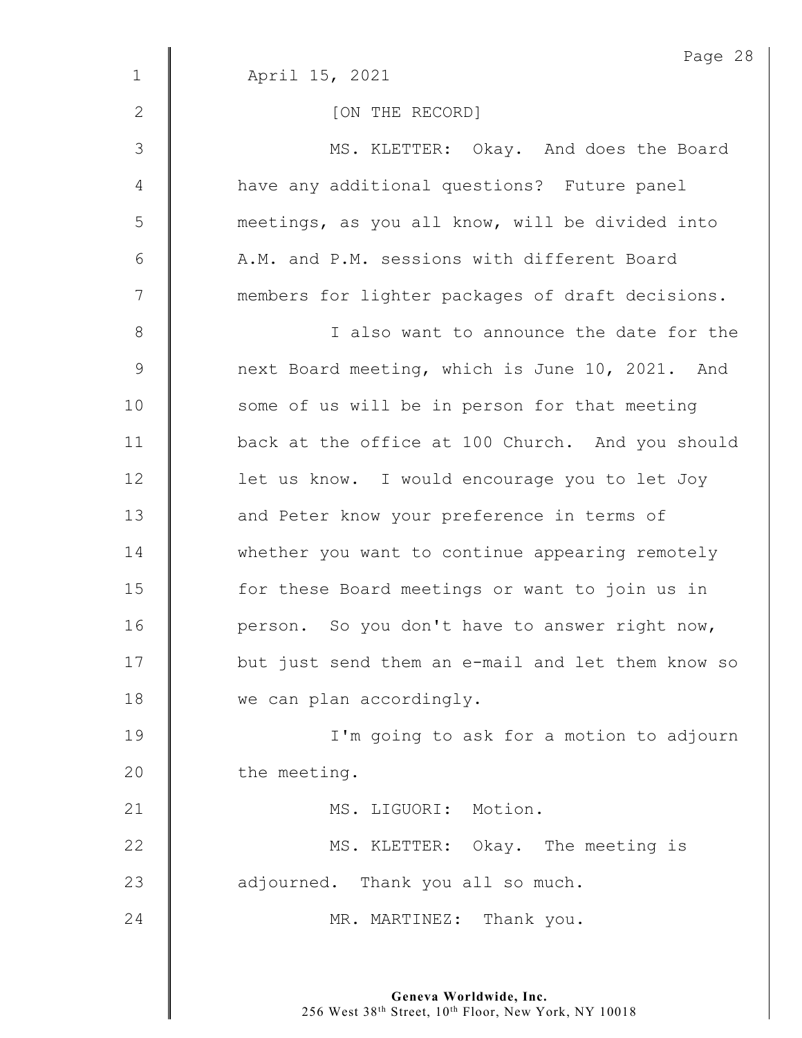|                | Page 28                                           |  |  |  |  |
|----------------|---------------------------------------------------|--|--|--|--|
| $\mathbf 1$    | April 15, 2021                                    |  |  |  |  |
| $\mathbf{2}$   | [ON THE RECORD]                                   |  |  |  |  |
| $\mathfrak{Z}$ | MS. KLETTER: Okay. And does the Board             |  |  |  |  |
| 4              | have any additional questions? Future panel       |  |  |  |  |
| 5              | meetings, as you all know, will be divided into   |  |  |  |  |
| 6              | A.M. and P.M. sessions with different Board       |  |  |  |  |
| $\overline{7}$ | members for lighter packages of draft decisions.  |  |  |  |  |
| $\,8\,$        | I also want to announce the date for the          |  |  |  |  |
| $\mathsf 9$    | next Board meeting, which is June 10, 2021. And   |  |  |  |  |
| 10             | some of us will be in person for that meeting     |  |  |  |  |
| 11             | back at the office at 100 Church. And you should  |  |  |  |  |
| 12             | let us know. I would encourage you to let Joy     |  |  |  |  |
| 13             | and Peter know your preference in terms of        |  |  |  |  |
| 14             | whether you want to continue appearing remotely   |  |  |  |  |
| 15             | for these Board meetings or want to join us in    |  |  |  |  |
| 16             | person. So you don't have to answer right now,    |  |  |  |  |
| 17             | but just send them an e-mail and let them know so |  |  |  |  |
| 18             | we can plan accordingly.                          |  |  |  |  |
| 19             | I'm going to ask for a motion to adjourn          |  |  |  |  |
| 20             | the meeting.                                      |  |  |  |  |
| 21             | MS. LIGUORI: Motion.                              |  |  |  |  |
| 22             | MS. KLETTER: Okay. The meeting is                 |  |  |  |  |
| 23             | adjourned. Thank you all so much.                 |  |  |  |  |
| 24             | MR. MARTINEZ: Thank you.                          |  |  |  |  |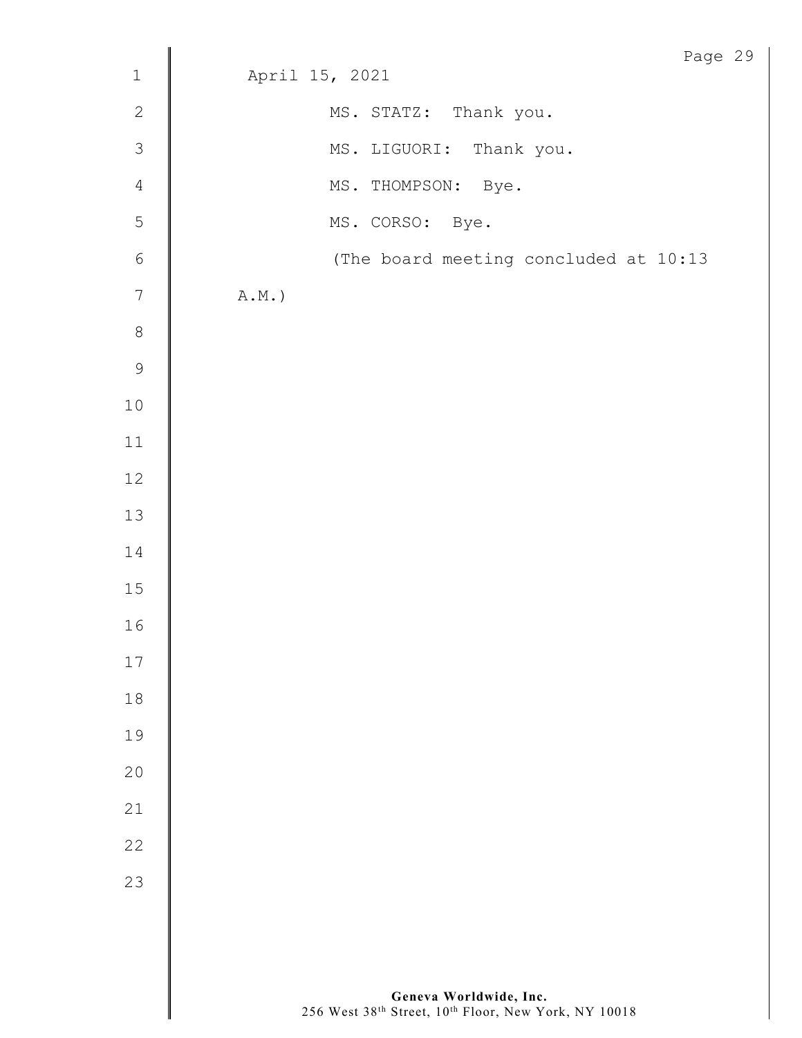|               |                                       | Page 29 |  |
|---------------|---------------------------------------|---------|--|
| $\mathbf{1}$  | April 15, 2021                        |         |  |
| $\mathbf{2}$  | MS. STATZ: Thank you.                 |         |  |
| $\mathcal{S}$ | MS. LIGUORI: Thank you.               |         |  |
| $\sqrt{4}$    | MS. THOMPSON: Bye.                    |         |  |
| 5             | MS. CORSO: Bye.                       |         |  |
| $\sqrt{6}$    | (The board meeting concluded at 10:13 |         |  |
| $\sqrt{ }$    | $\mathtt{A.M.}$ )                     |         |  |
| $\,8\,$       |                                       |         |  |
| 9             |                                       |         |  |
| $1\,0$        |                                       |         |  |
| $11\,$        |                                       |         |  |
| 12            |                                       |         |  |
| 13            |                                       |         |  |
| 14            |                                       |         |  |
| $15\,$        |                                       |         |  |
| 16            |                                       |         |  |
| $17$          |                                       |         |  |
| $18\,$        |                                       |         |  |
| 19            |                                       |         |  |
| 20            |                                       |         |  |
| 21            |                                       |         |  |
| 22            |                                       |         |  |
| 23            |                                       |         |  |
|               |                                       |         |  |
|               |                                       |         |  |